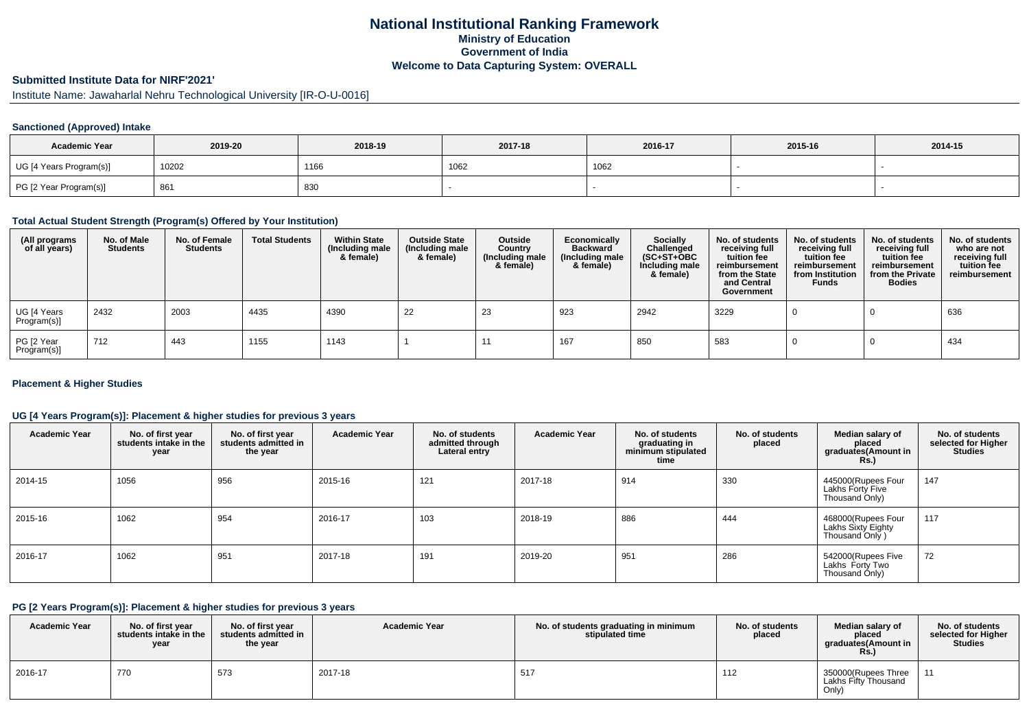## **National Institutional Ranking FrameworkMinistry of Education Government of IndiaWelcome to Data Capturing System: OVERALL**

# **Submitted Institute Data for NIRF'2021'**

Institute Name: Jawaharlal Nehru Technological University [IR-O-U-0016]

### **Sanctioned (Approved) Intake**

| <b>Academic Year</b>    | 2019-20 | 2018-19 | 2017-18 | 2016-17 | 2015-16 | 2014-15 |
|-------------------------|---------|---------|---------|---------|---------|---------|
| UG [4 Years Program(s)] | 10202   | 1166    | 1062    | 1062    |         |         |
| PG [2 Year Program(s)]  | 861     | 830     |         |         |         |         |

#### **Total Actual Student Strength (Program(s) Offered by Your Institution)**

| (All programs<br>of all years) | No. of Male<br><b>Students</b> | No. of Female<br><b>Students</b> | <b>Total Students</b> | <b>Within State</b><br>(Including male<br>& female) | <b>Outside State</b><br>(Including male<br>& female) | Outside<br>Country<br>(Including male<br>& female) | Economically<br><b>Backward</b><br>(Including male<br>& female) | Socially<br>Challenged<br>$(SC+ST+OBC)$<br>Including male<br>& female) | No. of students<br>receiving full<br>tuition fee<br>reimbursement<br>from the State<br>and Central<br>Government | No. of students<br>receiving full<br>tuition fee<br>reimbursement<br>from Institution<br><b>Funds</b> | No. of students<br>receiving full<br>tuition fee<br>reimbursement<br>from the Private<br><b>Bodies</b> | No. of students<br>who are not<br>receiving full<br>tuition fee<br>reimbursement |
|--------------------------------|--------------------------------|----------------------------------|-----------------------|-----------------------------------------------------|------------------------------------------------------|----------------------------------------------------|-----------------------------------------------------------------|------------------------------------------------------------------------|------------------------------------------------------------------------------------------------------------------|-------------------------------------------------------------------------------------------------------|--------------------------------------------------------------------------------------------------------|----------------------------------------------------------------------------------|
| UG [4 Years<br>Program(s)]     | 2432                           | 2003                             | 4435                  | 4390                                                | 22                                                   | 23                                                 | 923                                                             | 2942                                                                   | 3229                                                                                                             |                                                                                                       |                                                                                                        | 636                                                                              |
| PG [2 Year<br>Program(s)]      | 712                            | 443                              | 1155                  | 1143                                                |                                                      |                                                    | 167                                                             | 850                                                                    | 583                                                                                                              |                                                                                                       |                                                                                                        | 434                                                                              |

### **Placement & Higher Studies**

### **UG [4 Years Program(s)]: Placement & higher studies for previous 3 years**

| <b>Academic Year</b> | No. of first year<br>students intake in the<br>year | No. of first year<br>students admitted in<br>the year | <b>Academic Year</b> | No. of students<br>admitted through<br>Lateral entry | <b>Academic Year</b> | No. of students<br>graduating in<br>minimum stipulated<br>time | No. of students<br>placed | Median salary of<br>placed<br>graduates(Amount in<br><b>Rs.</b> ) | No. of students<br>selected for Higher<br><b>Studies</b> |
|----------------------|-----------------------------------------------------|-------------------------------------------------------|----------------------|------------------------------------------------------|----------------------|----------------------------------------------------------------|---------------------------|-------------------------------------------------------------------|----------------------------------------------------------|
| 2014-15              | 1056                                                | 956                                                   | 2015-16              | 121                                                  | 2017-18              | 914                                                            | 330                       | 445000(Rupees Four<br>Lakhs Forty Five<br>Thousand Only)          | 147                                                      |
| 2015-16              | 1062                                                | 954                                                   | 2016-17              | 103                                                  | 2018-19              | 886                                                            | 444                       | 468000(Rupees Four<br>Lakhs Sixty Eighty<br>Thousand Only )       | 117                                                      |
| 2016-17              | 1062                                                | 951                                                   | 2017-18              | 191                                                  | 2019-20              | 951                                                            | 286                       | 542000(Rupees Five<br>Lakhs Forty Two<br>Thousand Only)           | 72                                                       |

### **PG [2 Years Program(s)]: Placement & higher studies for previous 3 years**

| <b>Academic Year</b> | No. of first year<br>students intake in the<br>year | No. of first year<br>students admitted in<br>the year | <b>Academic Year</b> | No. of students graduating in minimum<br>stipulated time | No. of students<br>placed | Median salary of<br>placed<br>graduates(Amount in<br><b>Rs.</b> ) | No. of students<br>selected for Higher<br><b>Studies</b> |
|----------------------|-----------------------------------------------------|-------------------------------------------------------|----------------------|----------------------------------------------------------|---------------------------|-------------------------------------------------------------------|----------------------------------------------------------|
| 2016-17              | 770                                                 | 573                                                   | 2017-18              | 517                                                      | 112                       | 350000(Rupees Three<br>Lakhs Fifty Thousand<br>Only)              | $-11$                                                    |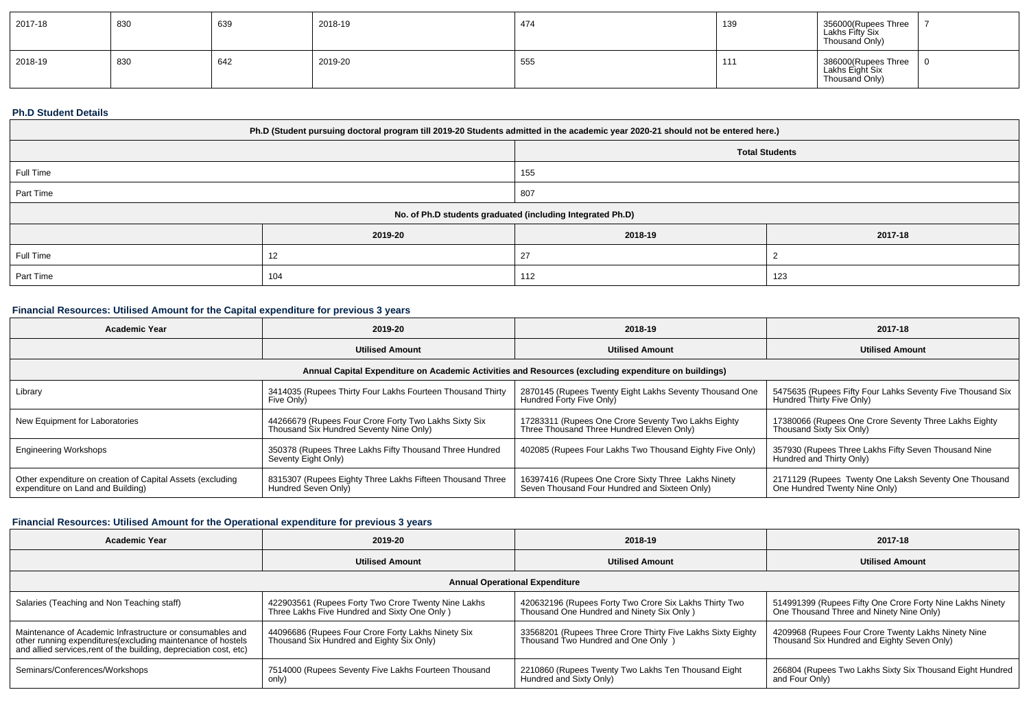| 2017-18 | 830 | 639 | 2018-19 | 474 | 139 | 356000(Rupees Three<br>Lakhs Fifty Six<br>Thousand Only) |  |
|---------|-----|-----|---------|-----|-----|----------------------------------------------------------|--|
| 2018-19 | 830 | 642 | 2019-20 | 555 | 11' | 386000(Rupees Three<br>Lakhs Eight Six<br>Thousand Only) |  |

#### **Ph.D Student Details**

| Ph.D (Student pursuing doctoral program till 2019-20 Students admitted in the academic year 2020-21 should not be entered here.) |                   |                                                            |         |  |  |  |
|----------------------------------------------------------------------------------------------------------------------------------|-------------------|------------------------------------------------------------|---------|--|--|--|
| <b>Total Students</b>                                                                                                            |                   |                                                            |         |  |  |  |
| Full Time<br>155                                                                                                                 |                   |                                                            |         |  |  |  |
| Part Time                                                                                                                        | 807               |                                                            |         |  |  |  |
|                                                                                                                                  |                   | No. of Ph.D students graduated (including Integrated Ph.D) |         |  |  |  |
|                                                                                                                                  | 2019-20           | 2018-19                                                    | 2017-18 |  |  |  |
| Full Time                                                                                                                        | 12                | 27                                                         |         |  |  |  |
| Part Time                                                                                                                        | 104<br>112<br>123 |                                                            |         |  |  |  |

## **Financial Resources: Utilised Amount for the Capital expenditure for previous 3 years**

| <b>Academic Year</b>                                                                            | 2019-20                                                                                          | 2018-19                                                                                              | 2017-18                                                                                 |
|-------------------------------------------------------------------------------------------------|--------------------------------------------------------------------------------------------------|------------------------------------------------------------------------------------------------------|-----------------------------------------------------------------------------------------|
|                                                                                                 | <b>Utilised Amount</b>                                                                           | <b>Utilised Amount</b>                                                                               | <b>Utilised Amount</b>                                                                  |
|                                                                                                 |                                                                                                  | Annual Capital Expenditure on Academic Activities and Resources (excluding expenditure on buildings) |                                                                                         |
| Library                                                                                         | 3414035 (Rupees Thirty Four Lakhs Fourteen Thousand Thirty<br>Five Only)                         | 2870145 (Rupees Twenty Eight Lakhs Seventy Thousand One<br>Hundred Forty Five Only)                  | 5475635 (Rupees Fifty Four Lahks Seventy Five Thousand Six<br>Hundred Thirty Five Only) |
| New Equipment for Laboratories                                                                  | 44266679 (Rupees Four Crore Forty Two Lakhs Sixty Six<br>Thousand Six Hundred Seventy Nine Only) | 17283311 (Rupees One Crore Seventy Two Lakhs Eighty<br>Three Thousand Three Hundred Eleven Only)     | 17380066 (Rupees One Crore Seventy Three Lakhs Eighty<br>Thousand Sixty Six Only)       |
| <b>Engineering Workshops</b>                                                                    | 350378 (Rupees Three Lakhs Fifty Thousand Three Hundred<br>Seventy Eight Only)                   | 402085 (Rupees Four Lakhs Two Thousand Eighty Five Only)                                             | 357930 (Rupees Three Lakhs Fifty Seven Thousand Nine<br>Hundred and Thirty Only)        |
| Other expenditure on creation of Capital Assets (excluding<br>expenditure on Land and Building) | 8315307 (Rupees Eighty Three Lakhs Fifteen Thousand Three<br>Hundred Seven Only)                 | 16397416 (Rupees One Crore Sixty Three Lakhs Ninety<br>Seven Thousand Four Hundred and Sixteen Only) | 2171129 (Rupees Twenty One Laksh Seventy One Thousand<br>One Hundred Twenty Nine Only)  |

### **Financial Resources: Utilised Amount for the Operational expenditure for previous 3 years**

| <b>Academic Year</b>                                                                                                                                                                            | 2019-20                                                                                              | 2018-19                                                                                             | 2017-18                                                                                               |  |  |  |  |  |  |
|-------------------------------------------------------------------------------------------------------------------------------------------------------------------------------------------------|------------------------------------------------------------------------------------------------------|-----------------------------------------------------------------------------------------------------|-------------------------------------------------------------------------------------------------------|--|--|--|--|--|--|
|                                                                                                                                                                                                 | <b>Utilised Amount</b>                                                                               | <b>Utilised Amount</b>                                                                              | <b>Utilised Amount</b>                                                                                |  |  |  |  |  |  |
|                                                                                                                                                                                                 | <b>Annual Operational Expenditure</b>                                                                |                                                                                                     |                                                                                                       |  |  |  |  |  |  |
| Salaries (Teaching and Non Teaching staff)                                                                                                                                                      | 422903561 (Rupees Forty Two Crore Twenty Nine Lakhs<br>Three Lakhs Five Hundred and Sixty One Only ) | 420632196 (Rupees Forty Two Crore Six Lakhs Thirty Two<br>Thousand One Hundred and Ninety Six Only) | 514991399 (Rupees Fifty One Crore Forty Nine Lakhs Ninety<br>One Thousand Three and Ninety Nine Only) |  |  |  |  |  |  |
| Maintenance of Academic Infrastructure or consumables and<br>other running expenditures (excluding maintenance of hostels<br>and allied services, rent of the building, depreciation cost, etc) | 44096686 (Rupees Four Crore Forty Lakhs Ninety Six<br>Thousand Six Hundred and Eighty Six Only)      | 33568201 (Rupees Three Crore Thirty Five Lakhs Sixty Eighty<br>Thousand Two Hundred and One Only )  | 4209968 (Rupees Four Crore Twenty Lakhs Ninety Nine<br>Thousand Six Hundred and Eighty Seven Only)    |  |  |  |  |  |  |
| Seminars/Conferences/Workshops                                                                                                                                                                  | 7514000 (Rupees Seventy Five Lakhs Fourteen Thousand<br>only)                                        | 2210860 (Rupees Twenty Two Lakhs Ten Thousand Eight<br>Hundred and Sixty Only)                      | 266804 (Rupees Two Lakhs Sixty Six Thousand Eight Hundred<br>and Four Only)                           |  |  |  |  |  |  |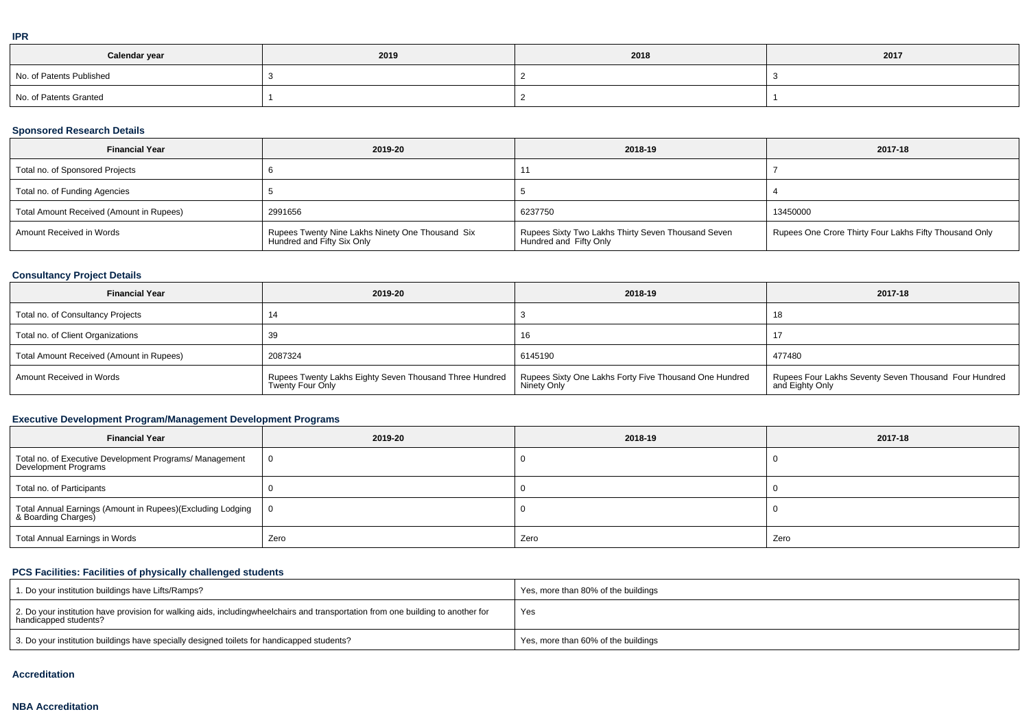| .                        |      |      |      |  |  |  |
|--------------------------|------|------|------|--|--|--|
| Calendar year            | 2019 | 2018 | 2017 |  |  |  |
| No. of Patents Published |      |      |      |  |  |  |
| No. of Patents Granted   |      |      |      |  |  |  |

## **Sponsored Research Details**

| <b>Financial Year</b>                    | 2019-20                                                                        | 2018-19                                                                        | 2017-18                                                |
|------------------------------------------|--------------------------------------------------------------------------------|--------------------------------------------------------------------------------|--------------------------------------------------------|
| Total no. of Sponsored Projects          |                                                                                |                                                                                |                                                        |
| Total no. of Funding Agencies            |                                                                                |                                                                                |                                                        |
| Total Amount Received (Amount in Rupees) | 2991656                                                                        | 6237750                                                                        | 13450000                                               |
| Amount Received in Words                 | Rupees Twenty Nine Lakhs Ninety One Thousand Six<br>Hundred and Fifty Six Only | Rupees Sixty Two Lakhs Thirty Seven Thousand Seven<br>  Hundred and Fifty Only | Rupees One Crore Thirty Four Lakhs Fifty Thousand Only |

## **Consultancy Project Details**

| <b>Financial Year</b>                    | 2019-20                                                                    | 2018-19                                                               | 2017-18                                                                  |
|------------------------------------------|----------------------------------------------------------------------------|-----------------------------------------------------------------------|--------------------------------------------------------------------------|
| Total no. of Consultancy Projects        |                                                                            |                                                                       | 18                                                                       |
| Total no. of Client Organizations        |                                                                            | 16                                                                    |                                                                          |
| Total Amount Received (Amount in Rupees) | 2087324                                                                    | 6145190                                                               | 477480                                                                   |
| Amount Received in Words                 | Rupees Twenty Lakhs Eighty Seven Thousand Three Hundred   Twenty Four Only | Rupees Sixty One Lakhs Forty Five Thousand One Hundred<br>Ninety Only | Rupees Four Lakhs Seventy Seven Thousand Four Hundred<br>and Eighty Only |

# **Executive Development Program/Management Development Programs**

| <b>Financial Year</b>                                                             | 2019-20  | 2018-19 | 2017-18 |
|-----------------------------------------------------------------------------------|----------|---------|---------|
| Total no. of Executive Development Programs/ Management<br>Development Programs   | $\Omega$ |         |         |
| Total no. of Participants                                                         |          |         |         |
| Total Annual Earnings (Amount in Rupees)(Excluding Lodging<br>& Boarding Charges) | l 0      |         |         |
| Total Annual Earnings in Words                                                    | Zero     | Zero    | Zero    |

# **PCS Facilities: Facilities of physically challenged students**

| 1. Do your institution buildings have Lifts/Ramps?                                                                                                        | Yes, more than 80% of the buildings |
|-----------------------------------------------------------------------------------------------------------------------------------------------------------|-------------------------------------|
| 2. Do your institution have provision for walking aids, includingwheelchairs and transportation from one building to another for<br>handicapped students? | Yes                                 |
| 3. Do your institution buildings have specially designed toilets for handicapped students?                                                                | Yes, more than 60% of the buildings |

#### **Accreditation**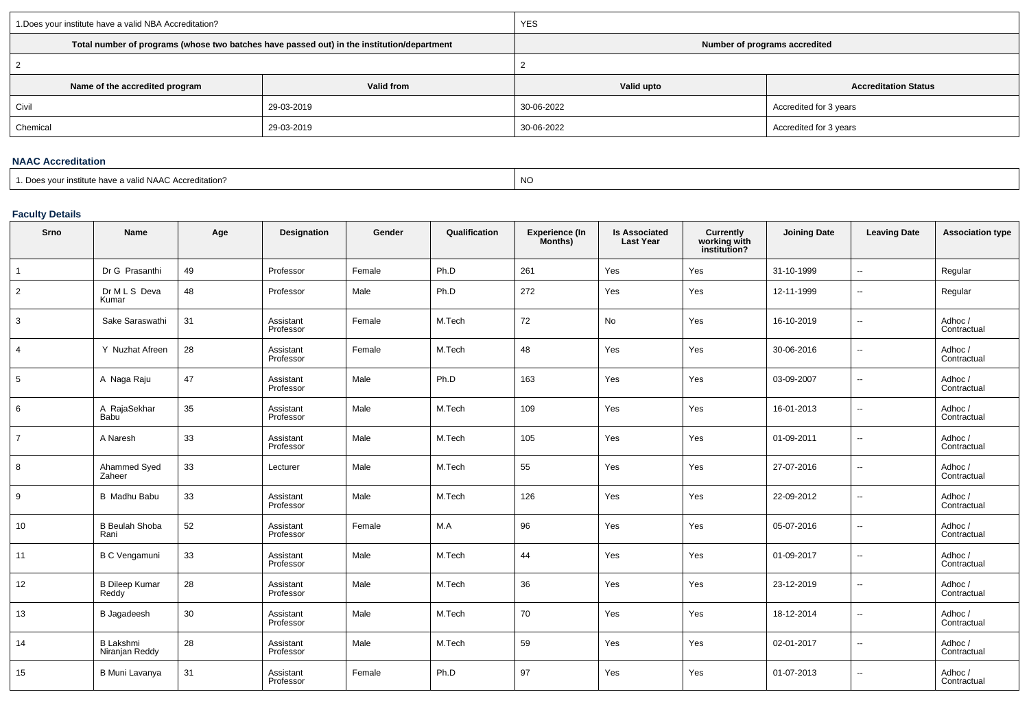| 1. Does your institute have a valid NBA Accreditation? |                                                                                            | <b>YES</b>                    |                             |  |  |  |
|--------------------------------------------------------|--------------------------------------------------------------------------------------------|-------------------------------|-----------------------------|--|--|--|
|                                                        | Total number of programs (whose two batches have passed out) in the institution/department | Number of programs accredited |                             |  |  |  |
|                                                        |                                                                                            |                               |                             |  |  |  |
| Name of the accredited program                         | Valid from                                                                                 | Valid upto                    | <b>Accreditation Status</b> |  |  |  |
| Civil                                                  | 29-03-2019                                                                                 | 30-06-2022                    | Accredited for 3 years      |  |  |  |
| Chemical                                               | 29-03-2019                                                                                 | 30-06-2022                    | Accredited for 3 years      |  |  |  |
|                                                        |                                                                                            |                               |                             |  |  |  |

#### **NAAC Accreditation**

expression of the contract of the contract of the contract of the contract of the contract of the contract of the contract of the contract of the contract of the contract of the contract of the contract of the contract of

# **Faculty Details**

| Srno           | Name                               | Age | Designation            | Gender | Qualification | Experience (In<br>Months) | <b>Is Associated</b><br><b>Last Year</b> | Currently<br>working with<br>institution? | <b>Joining Date</b> | <b>Leaving Date</b>      | <b>Association type</b> |
|----------------|------------------------------------|-----|------------------------|--------|---------------|---------------------------|------------------------------------------|-------------------------------------------|---------------------|--------------------------|-------------------------|
|                | Dr G Prasanthi                     | 49  | Professor              | Female | Ph.D          | 261                       | Yes                                      | Yes                                       | 31-10-1999          |                          | Regular                 |
| $\overline{2}$ | Dr M L S Deva<br>Kumar             | 48  | Professor              | Male   | Ph.D          | 272                       | Yes                                      | Yes                                       | 12-11-1999          | $\overline{\phantom{a}}$ | Regular                 |
| 3              | Sake Saraswathi                    | 31  | Assistant<br>Professor | Female | M.Tech        | 72                        | No                                       | Yes                                       | 16-10-2019          | $\overline{\phantom{a}}$ | Adhoc /<br>Contractual  |
| $\overline{4}$ | Y Nuzhat Afreen                    | 28  | Assistant<br>Professor | Female | M.Tech        | 48                        | Yes                                      | Yes                                       | 30-06-2016          | $\overline{\phantom{a}}$ | Adhoc /<br>Contractual  |
| 5              | A Naga Raju                        | 47  | Assistant<br>Professor | Male   | Ph.D          | 163                       | Yes                                      | Yes                                       | 03-09-2007          | $\sim$                   | Adhoc /<br>Contractual  |
| 6              | A RajaSekhar<br>Babu <sup>1</sup>  | 35  | Assistant<br>Professor | Male   | M.Tech        | 109                       | Yes                                      | Yes                                       | 16-01-2013          | $\sim$                   | Adhoc /<br>Contractual  |
| $\overline{7}$ | A Naresh                           | 33  | Assistant<br>Professor | Male   | M.Tech        | 105                       | Yes                                      | Yes                                       | 01-09-2011          | $\overline{\phantom{a}}$ | Adhoc /<br>Contractual  |
| 8              | Ahammed Syed<br>Zaheer             | 33  | Lecturer               | Male   | M.Tech        | 55                        | Yes                                      | Yes                                       | 27-07-2016          | $\sim$                   | Adhoc /<br>Contractual  |
| 9              | <b>B</b> Madhu Babu                | 33  | Assistant<br>Professor | Male   | M.Tech        | 126                       | Yes                                      | Yes                                       | 22-09-2012          | $\sim$                   | Adhoc /<br>Contractual  |
| 10             | <b>B</b> Beulah Shoba<br>Rani      | 52  | Assistant<br>Professor | Female | M.A           | 96                        | Yes                                      | Yes                                       | 05-07-2016          | $\overline{\phantom{a}}$ | Adhoc /<br>Contractual  |
| 11             | <b>B C Vengamuni</b>               | 33  | Assistant<br>Professor | Male   | M.Tech        | 44                        | Yes                                      | Yes                                       | 01-09-2017          | $\ddotsc$                | Adhoc /<br>Contractual  |
| 12             | <b>B Dileep Kumar</b><br>Reddy     | 28  | Assistant<br>Professor | Male   | M.Tech        | 36                        | Yes                                      | Yes                                       | 23-12-2019          | $\sim$                   | Adhoc/<br>Contractual   |
| 13             | <b>B</b> Jagadeesh                 | 30  | Assistant<br>Professor | Male   | M.Tech        | 70                        | Yes                                      | Yes                                       | 18-12-2014          | $\overline{\phantom{a}}$ | Adhoc /<br>Contractual  |
| 14             | <b>B Lakshmi</b><br>Niranjan Reddy | 28  | Assistant<br>Professor | Male   | M.Tech        | 59                        | Yes                                      | Yes                                       | 02-01-2017          | $\ddotsc$                | Adhoc /<br>Contractual  |
| 15             | B Muni Lavanya                     | 31  | Assistant<br>Professor | Female | Ph.D          | 97                        | Yes                                      | Yes                                       | 01-07-2013          | $\overline{\phantom{a}}$ | Adhoc /<br>Contractual  |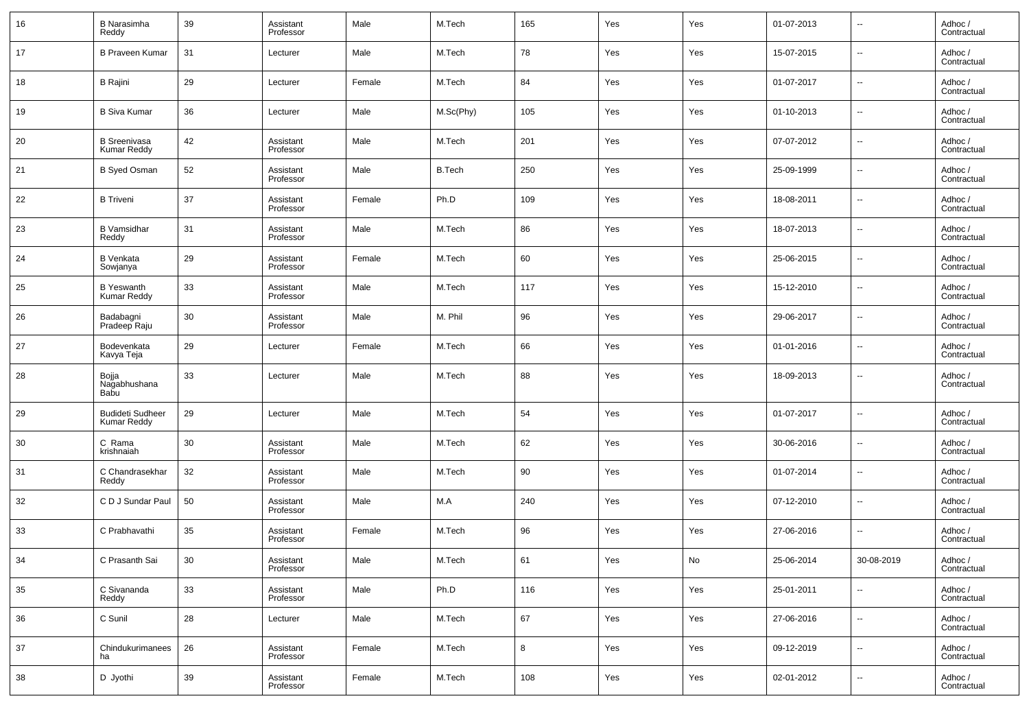| 16     | <b>B</b> Narasimha<br>Reddy             | 39 | Assistant<br>Professor | Male   | M.Tech        | 165 | Yes | Yes | 01-07-2013 | $\overline{\phantom{a}}$ | Adhoc /<br>Contractual |
|--------|-----------------------------------------|----|------------------------|--------|---------------|-----|-----|-----|------------|--------------------------|------------------------|
| 17     | <b>B Praveen Kumar</b>                  | 31 | Lecturer               | Male   | M.Tech        | 78  | Yes | Yes | 15-07-2015 | $\sim$                   | Adhoc /<br>Contractual |
| 18     | <b>B</b> Rajini                         | 29 | Lecturer               | Female | M.Tech        | 84  | Yes | Yes | 01-07-2017 | $\sim$                   | Adhoc /<br>Contractual |
| 19     | <b>B Siva Kumar</b>                     | 36 | Lecturer               | Male   | M.Sc(Phy)     | 105 | Yes | Yes | 01-10-2013 | $\overline{\phantom{a}}$ | Adhoc /<br>Contractual |
| 20     | B Sreenivasa<br>Kumar Reddy             | 42 | Assistant<br>Professor | Male   | M.Tech        | 201 | Yes | Yes | 07-07-2012 | $\sim$                   | Adhoc /<br>Contractual |
| 21     | <b>B</b> Syed Osman                     | 52 | Assistant<br>Professor | Male   | <b>B.Tech</b> | 250 | Yes | Yes | 25-09-1999 | $\overline{\phantom{a}}$ | Adhoc /<br>Contractual |
| 22     | <b>B</b> Triveni                        | 37 | Assistant<br>Professor | Female | Ph.D          | 109 | Yes | Yes | 18-08-2011 | $\sim$                   | Adhoc /<br>Contractual |
| 23     | <b>B</b> Vamsidhar<br>Reddy             | 31 | Assistant<br>Professor | Male   | M.Tech        | 86  | Yes | Yes | 18-07-2013 | $\sim$                   | Adhoc /<br>Contractual |
| 24     | <b>B</b> Venkata<br>Sowjanya            | 29 | Assistant<br>Professor | Female | M.Tech        | 60  | Yes | Yes | 25-06-2015 | $\sim$                   | Adhoc /<br>Contractual |
| 25     | <b>B</b> Yeswanth<br><b>Kumar Reddy</b> | 33 | Assistant<br>Professor | Male   | M.Tech        | 117 | Yes | Yes | 15-12-2010 | $\sim$                   | Adhoc /<br>Contractual |
| 26     | Badabagni<br>Pradeep Raju               | 30 | Assistant<br>Professor | Male   | M. Phil       | 96  | Yes | Yes | 29-06-2017 | $\overline{\phantom{a}}$ | Adhoc /<br>Contractual |
| 27     | Bodevenkata<br>Kavya Teja               | 29 | Lecturer               | Female | M.Tech        | 66  | Yes | Yes | 01-01-2016 | $\overline{\phantom{a}}$ | Adhoc /<br>Contractual |
| 28     | Bojja<br>Nagabhushana<br>Babu           | 33 | Lecturer               | Male   | M.Tech        | 88  | Yes | Yes | 18-09-2013 | $\overline{\phantom{a}}$ | Adhoc /<br>Contractual |
| 29     | <b>Budideti Sudheer</b><br>Kumar Reddy  | 29 | Lecturer               | Male   | M.Tech        | 54  | Yes | Yes | 01-07-2017 | $\ddotsc$                | Adhoc /<br>Contractual |
| 30     | C Rama<br>krishnaiah                    | 30 | Assistant<br>Professor | Male   | M.Tech        | 62  | Yes | Yes | 30-06-2016 | $\sim$                   | Adhoc /<br>Contractual |
| 31     | C Chandrasekhar<br>Reddy                | 32 | Assistant<br>Professor | Male   | M.Tech        | 90  | Yes | Yes | 01-07-2014 | $\ddotsc$                | Adhoc /<br>Contractual |
| 32     | C D J Sundar Paul                       | 50 | Assistant<br>Professor | Male   | M.A           | 240 | Yes | Yes | 07-12-2010 | $\sim$                   | Adhoc /<br>Contractual |
| 33     | C Prabhavathi                           | 35 | Assistant<br>Professor | Female | M.Tech        | 96  | Yes | Yes | 27-06-2016 | $\sim$                   | Adhoc /<br>Contractual |
| 34     | C Prasanth Sai                          | 30 | Assistant<br>Professor | Male   | M.Tech        | 61  | Yes | No  | 25-06-2014 | 30-08-2019               | Adhoc /<br>Contractual |
| 35     | C Sivananda<br>Reddy                    | 33 | Assistant<br>Professor | Male   | Ph.D          | 116 | Yes | Yes | 25-01-2011 | $\overline{\phantom{a}}$ | Adhoc /<br>Contractual |
| 36     | C Sunil                                 | 28 | Lecturer               | Male   | M.Tech        | 67  | Yes | Yes | 27-06-2016 | $\overline{\phantom{a}}$ | Adhoc /<br>Contractual |
| 37     | Chindukurimanees<br>ha                  | 26 | Assistant<br>Professor | Female | M.Tech        | 8   | Yes | Yes | 09-12-2019 | $\sim$                   | Adhoc /<br>Contractual |
| $38\,$ | D Jyothi                                | 39 | Assistant<br>Professor | Female | M.Tech        | 108 | Yes | Yes | 02-01-2012 | $\overline{\phantom{a}}$ | Adhoc /<br>Contractual |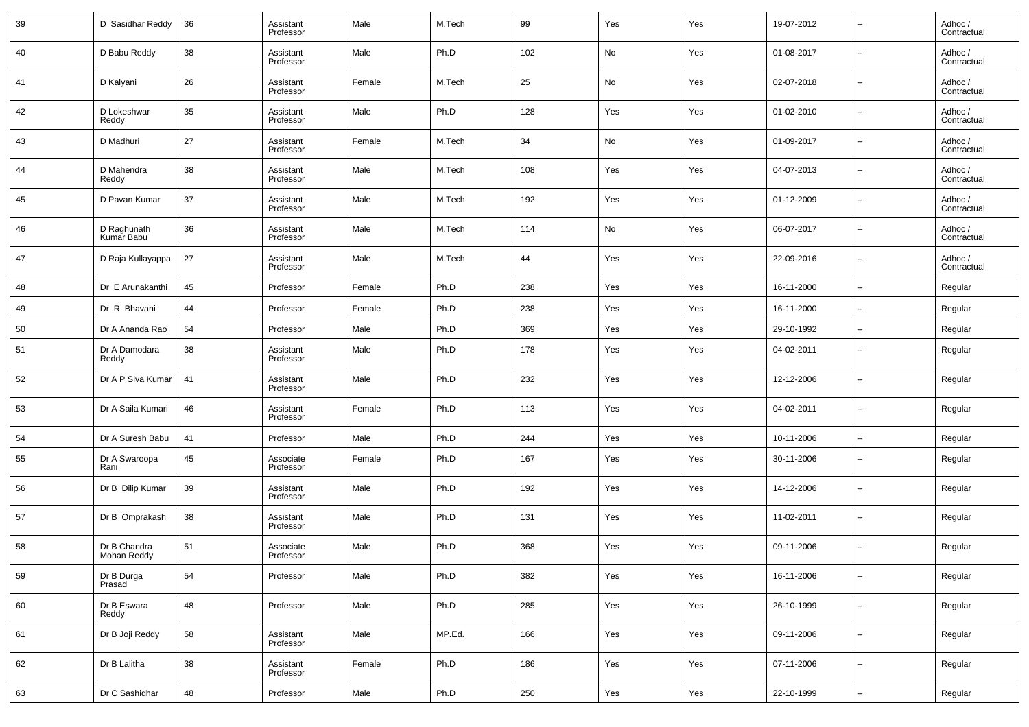| 39 | D Sasidhar Reddy            | 36 | Assistant<br>Professor | Male   | M.Tech | 99  | Yes | Yes | 19-07-2012 | --                       | Adhoc /<br>Contractual |
|----|-----------------------------|----|------------------------|--------|--------|-----|-----|-----|------------|--------------------------|------------------------|
| 40 | D Babu Reddy                | 38 | Assistant<br>Professor | Male   | Ph.D   | 102 | No  | Yes | 01-08-2017 | --                       | Adhoc /<br>Contractual |
| 41 | D Kalyani                   | 26 | Assistant<br>Professor | Female | M.Tech | 25  | No  | Yes | 02-07-2018 | ш,                       | Adhoc /<br>Contractual |
| 42 | D Lokeshwar<br>Reddy        | 35 | Assistant<br>Professor | Male   | Ph.D   | 128 | Yes | Yes | 01-02-2010 | ш,                       | Adhoc /<br>Contractual |
| 43 | D Madhuri                   | 27 | Assistant<br>Professor | Female | M.Tech | 34  | No  | Yes | 01-09-2017 | ш,                       | Adhoc /<br>Contractual |
| 44 | D Mahendra<br>Reddy         | 38 | Assistant<br>Professor | Male   | M.Tech | 108 | Yes | Yes | 04-07-2013 | --                       | Adhoc /<br>Contractual |
| 45 | D Pavan Kumar               | 37 | Assistant<br>Professor | Male   | M.Tech | 192 | Yes | Yes | 01-12-2009 | ш,                       | Adhoc /<br>Contractual |
| 46 | D Raghunath<br>Kumar Babu   | 36 | Assistant<br>Professor | Male   | M.Tech | 114 | No  | Yes | 06-07-2017 | --                       | Adhoc /<br>Contractual |
| 47 | D Raja Kullayappa           | 27 | Assistant<br>Professor | Male   | M.Tech | 44  | Yes | Yes | 22-09-2016 | ш,                       | Adhoc /<br>Contractual |
| 48 | Dr E Arunakanthi            | 45 | Professor              | Female | Ph.D   | 238 | Yes | Yes | 16-11-2000 | ш,                       | Regular                |
| 49 | Dr R Bhavani                | 44 | Professor              | Female | Ph.D   | 238 | Yes | Yes | 16-11-2000 | $\sim$                   | Regular                |
| 50 | Dr A Ananda Rao             | 54 | Professor              | Male   | Ph.D   | 369 | Yes | Yes | 29-10-1992 | н.                       | Regular                |
| 51 | Dr A Damodara<br>Reddy      | 38 | Assistant<br>Professor | Male   | Ph.D   | 178 | Yes | Yes | 04-02-2011 | --                       | Regular                |
| 52 | Dr A P Siva Kumar           | 41 | Assistant<br>Professor | Male   | Ph.D   | 232 | Yes | Yes | 12-12-2006 | --                       | Regular                |
| 53 | Dr A Saila Kumari           | 46 | Assistant<br>Professor | Female | Ph.D   | 113 | Yes | Yes | 04-02-2011 | --                       | Regular                |
| 54 | Dr A Suresh Babu            | 41 | Professor              | Male   | Ph.D   | 244 | Yes | Yes | 10-11-2006 | --                       | Regular                |
| 55 | Dr A Swaroopa<br>Rani       | 45 | Associate<br>Professor | Female | Ph.D   | 167 | Yes | Yes | 30-11-2006 | --                       | Regular                |
| 56 | Dr B Dilip Kumar            | 39 | Assistant<br>Professor | Male   | Ph.D   | 192 | Yes | Yes | 14-12-2006 | --                       | Regular                |
| 57 | Dr B Omprakash              | 38 | Assistant<br>Professor | Male   | Ph.D   | 131 | Yes | Yes | 11-02-2011 | --                       | Regular                |
| 58 | Dr B Chandra<br>Mohan Reddy | 51 | Associate<br>Professor | Male   | Ph.D   | 368 | Yes | Yes | 09-11-2006 | $\overline{a}$           | Regular                |
| 59 | Dr B Durga<br>Prasad        | 54 | Professor              | Male   | Ph.D   | 382 | Yes | Yes | 16-11-2006 | --                       | Regular                |
| 60 | Dr B Eswara<br>Reddy        | 48 | Professor              | Male   | Ph.D   | 285 | Yes | Yes | 26-10-1999 | $\sim$                   | Regular                |
| 61 | Dr B Joji Reddy             | 58 | Assistant<br>Professor | Male   | MP.Ed. | 166 | Yes | Yes | 09-11-2006 | $\sim$                   | Regular                |
| 62 | Dr B Lalitha                | 38 | Assistant<br>Professor | Female | Ph.D   | 186 | Yes | Yes | 07-11-2006 | $\overline{\phantom{a}}$ | Regular                |
| 63 | Dr C Sashidhar              | 48 | Professor              | Male   | Ph.D   | 250 | Yes | Yes | 22-10-1999 | $\sim$                   | Regular                |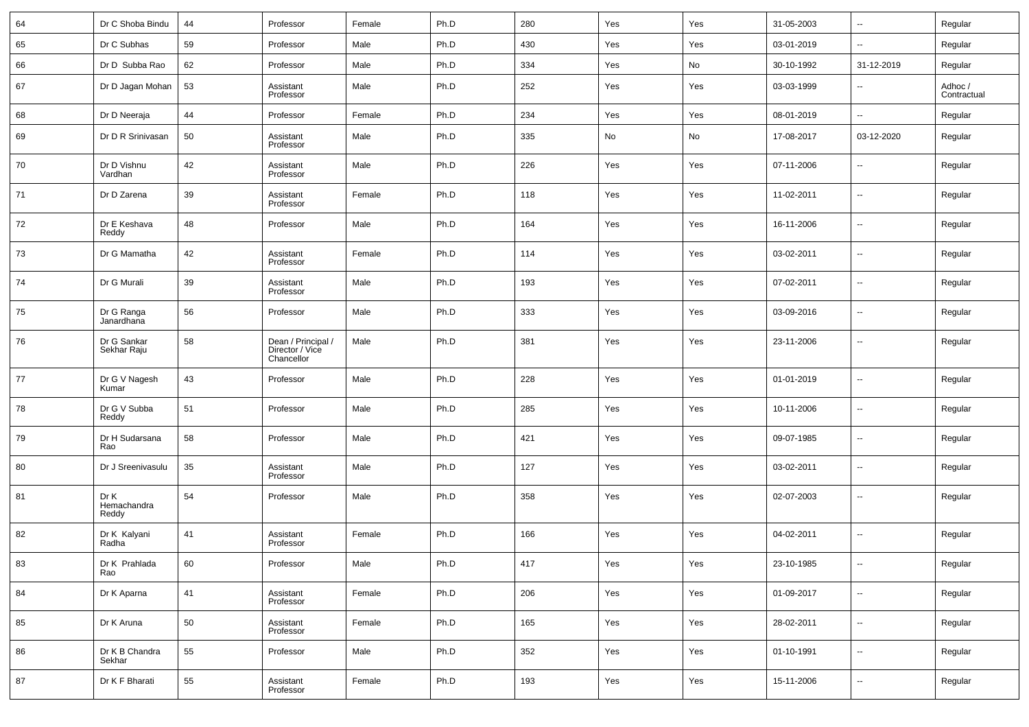| 64 | Dr C Shoba Bindu             | 44 | Professor                                           | Female | Ph.D | 280 | Yes | Yes | 31-05-2003 | $\ddotsc$                | Regular                |
|----|------------------------------|----|-----------------------------------------------------|--------|------|-----|-----|-----|------------|--------------------------|------------------------|
| 65 | Dr C Subhas                  | 59 | Professor                                           | Male   | Ph.D | 430 | Yes | Yes | 03-01-2019 | $\sim$                   | Regular                |
| 66 | Dr D Subba Rao               | 62 | Professor                                           | Male   | Ph.D | 334 | Yes | No  | 30-10-1992 | 31-12-2019               | Regular                |
| 67 | Dr D Jagan Mohan             | 53 | Assistant<br>Professor                              | Male   | Ph.D | 252 | Yes | Yes | 03-03-1999 | $\ddotsc$                | Adhoc /<br>Contractual |
| 68 | Dr D Neeraja                 | 44 | Professor                                           | Female | Ph.D | 234 | Yes | Yes | 08-01-2019 | $\overline{\phantom{a}}$ | Regular                |
| 69 | Dr D R Srinivasan            | 50 | Assistant<br>Professor                              | Male   | Ph.D | 335 | No  | No  | 17-08-2017 | 03-12-2020               | Regular                |
| 70 | Dr D Vishnu<br>Vardhan       | 42 | Assistant<br>Professor                              | Male   | Ph.D | 226 | Yes | Yes | 07-11-2006 | $\sim$                   | Regular                |
| 71 | Dr D Zarena                  | 39 | Assistant<br>Professor                              | Female | Ph.D | 118 | Yes | Yes | 11-02-2011 | $\sim$                   | Regular                |
| 72 | Dr E Keshava<br>Reddy        | 48 | Professor                                           | Male   | Ph.D | 164 | Yes | Yes | 16-11-2006 | $\sim$                   | Regular                |
| 73 | Dr G Mamatha                 | 42 | Assistant<br>Professor                              | Female | Ph.D | 114 | Yes | Yes | 03-02-2011 | $\sim$                   | Regular                |
| 74 | Dr G Murali                  | 39 | Assistant<br>Professor                              | Male   | Ph.D | 193 | Yes | Yes | 07-02-2011 | $\sim$                   | Regular                |
| 75 | Dr G Ranga<br>Janardhana     | 56 | Professor                                           | Male   | Ph.D | 333 | Yes | Yes | 03-09-2016 | $\sim$                   | Regular                |
| 76 | Dr G Sankar<br>Sekhar Raju   | 58 | Dean / Principal /<br>Director / Vice<br>Chancellor | Male   | Ph.D | 381 | Yes | Yes | 23-11-2006 | $\overline{\phantom{a}}$ | Regular                |
| 77 | Dr G V Nagesh<br>Kumar       | 43 | Professor                                           | Male   | Ph.D | 228 | Yes | Yes | 01-01-2019 | $\sim$                   | Regular                |
| 78 | Dr G V Subba<br>Reddy        | 51 | Professor                                           | Male   | Ph.D | 285 | Yes | Yes | 10-11-2006 | $\sim$                   | Regular                |
| 79 | Dr H Sudarsana<br>Rao        | 58 | Professor                                           | Male   | Ph.D | 421 | Yes | Yes | 09-07-1985 | $\sim$                   | Regular                |
| 80 | Dr J Sreenivasulu            | 35 | Assistant<br>Professor                              | Male   | Ph.D | 127 | Yes | Yes | 03-02-2011 | ц,                       | Regular                |
| 81 | Dr K<br>Hemachandra<br>Reddy | 54 | Professor                                           | Male   | Ph.D | 358 | Yes | Yes | 02-07-2003 | $\ddotsc$                | Regular                |
| 82 | Dr K Kalyani<br>Radha        | 41 | Assistant<br>Professor                              | Female | Ph.D | 166 | Yes | Yes | 04-02-2011 | $\ddotsc$                | Regular                |
| 83 | Dr K Prahlada<br>Rao         | 60 | Professor                                           | Male   | Ph.D | 417 | Yes | Yes | 23-10-1985 | $\ddotsc$                | Regular                |
| 84 | Dr K Aparna                  | 41 | Assistant<br>Professor                              | Female | Ph.D | 206 | Yes | Yes | 01-09-2017 | $\ddotsc$                | Regular                |
| 85 | Dr K Aruna                   | 50 | Assistant<br>Professor                              | Female | Ph.D | 165 | Yes | Yes | 28-02-2011 | $\ddotsc$                | Regular                |
| 86 | Dr K B Chandra<br>Sekhar     | 55 | Professor                                           | Male   | Ph.D | 352 | Yes | Yes | 01-10-1991 | $\ddotsc$                | Regular                |
| 87 | Dr K F Bharati               | 55 | Assistant<br>Professor                              | Female | Ph.D | 193 | Yes | Yes | 15-11-2006 | $\overline{\phantom{a}}$ | Regular                |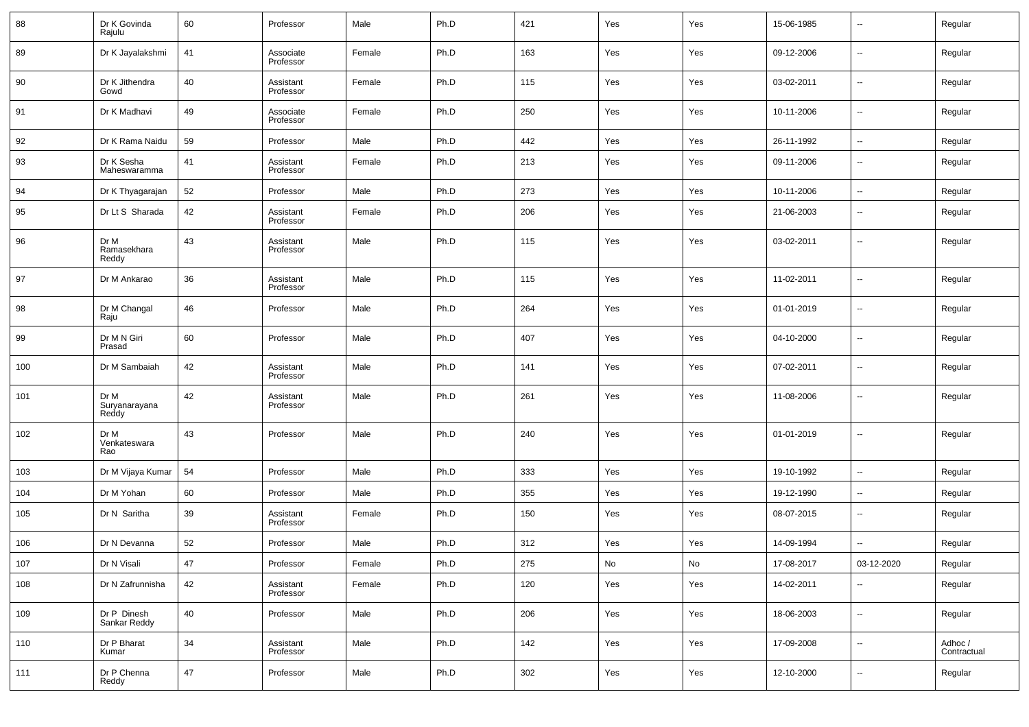| 88  | Dr K Govinda<br>Rajulu         | 60     | Professor              | Male   | Ph.D | 421 | Yes | Yes | 15-06-1985 | --                       | Regular                |
|-----|--------------------------------|--------|------------------------|--------|------|-----|-----|-----|------------|--------------------------|------------------------|
| 89  | Dr K Jayalakshmi               | 41     | Associate<br>Professor | Female | Ph.D | 163 | Yes | Yes | 09-12-2006 | н.                       | Regular                |
| 90  | Dr K Jithendra<br>Gowd         | 40     | Assistant<br>Professor | Female | Ph.D | 115 | Yes | Yes | 03-02-2011 | $\sim$                   | Regular                |
| 91  | Dr K Madhavi                   | 49     | Associate<br>Professor | Female | Ph.D | 250 | Yes | Yes | 10-11-2006 | $\sim$                   | Regular                |
| 92  | Dr K Rama Naidu                | 59     | Professor              | Male   | Ph.D | 442 | Yes | Yes | 26-11-1992 | $\overline{\phantom{a}}$ | Regular                |
| 93  | Dr K Sesha<br>Maheswaramma     | 41     | Assistant<br>Professor | Female | Ph.D | 213 | Yes | Yes | 09-11-2006 | --                       | Regular                |
| 94  | Dr K Thyagarajan               | 52     | Professor              | Male   | Ph.D | 273 | Yes | Yes | 10-11-2006 | н.                       | Regular                |
| 95  | Dr Lt S Sharada                | 42     | Assistant<br>Professor | Female | Ph.D | 206 | Yes | Yes | 21-06-2003 | $\overline{\phantom{a}}$ | Regular                |
| 96  | Dr M<br>Ramasekhara<br>Reddy   | 43     | Assistant<br>Professor | Male   | Ph.D | 115 | Yes | Yes | 03-02-2011 | --                       | Regular                |
| 97  | Dr M Ankarao                   | 36     | Assistant<br>Professor | Male   | Ph.D | 115 | Yes | Yes | 11-02-2011 | --                       | Regular                |
| 98  | Dr M Changal<br>Raju           | 46     | Professor              | Male   | Ph.D | 264 | Yes | Yes | 01-01-2019 | н.                       | Regular                |
| 99  | Dr M N Giri<br>Prasad          | 60     | Professor              | Male   | Ph.D | 407 | Yes | Yes | 04-10-2000 | н.                       | Regular                |
| 100 | Dr M Sambaiah                  | 42     | Assistant<br>Professor | Male   | Ph.D | 141 | Yes | Yes | 07-02-2011 | --                       | Regular                |
| 101 | Dr M<br>Suryanarayana<br>Reddy | 42     | Assistant<br>Professor | Male   | Ph.D | 261 | Yes | Yes | 11-08-2006 | --                       | Regular                |
| 102 | Dr M<br>Venkateswara<br>Rao    | 43     | Professor              | Male   | Ph.D | 240 | Yes | Yes | 01-01-2019 | --                       | Regular                |
| 103 | Dr M Vijaya Kumar              | 54     | Professor              | Male   | Ph.D | 333 | Yes | Yes | 19-10-1992 | $\overline{\phantom{a}}$ | Regular                |
| 104 | Dr M Yohan                     | 60     | Professor              | Male   | Ph.D | 355 | Yes | Yes | 19-12-1990 | $\overline{\phantom{a}}$ | Regular                |
| 105 | Dr N Saritha                   | 39     | Assistant<br>Professor | Female | Ph.D | 150 | Yes | Yes | 08-07-2015 | --                       | Regular                |
| 106 | Dr N Devanna                   | 52     | Professor              | Male   | Ph.D | 312 | Yes | Yes | 14-09-1994 | н.                       | Regular                |
| 107 | Dr N Visali                    | 47     | Professor              | Female | Ph.D | 275 | No  | No  | 17-08-2017 | 03-12-2020               | Regular                |
| 108 | Dr N Zafrunnisha               | 42     | Assistant<br>Professor | Female | Ph.D | 120 | Yes | Yes | 14-02-2011 | н.                       | Regular                |
| 109 | Dr P Dinesh<br>Sankar Reddy    | 40     | Professor              | Male   | Ph.D | 206 | Yes | Yes | 18-06-2003 | $\sim$                   | Regular                |
| 110 | Dr P Bharat<br>Kumar           | 34     | Assistant<br>Professor | Male   | Ph.D | 142 | Yes | Yes | 17-09-2008 | $\overline{\phantom{a}}$ | Adhoc /<br>Contractual |
| 111 | Dr P Chenna<br>Reddy           | $47\,$ | Professor              | Male   | Ph.D | 302 | Yes | Yes | 12-10-2000 | $\overline{\phantom{a}}$ | Regular                |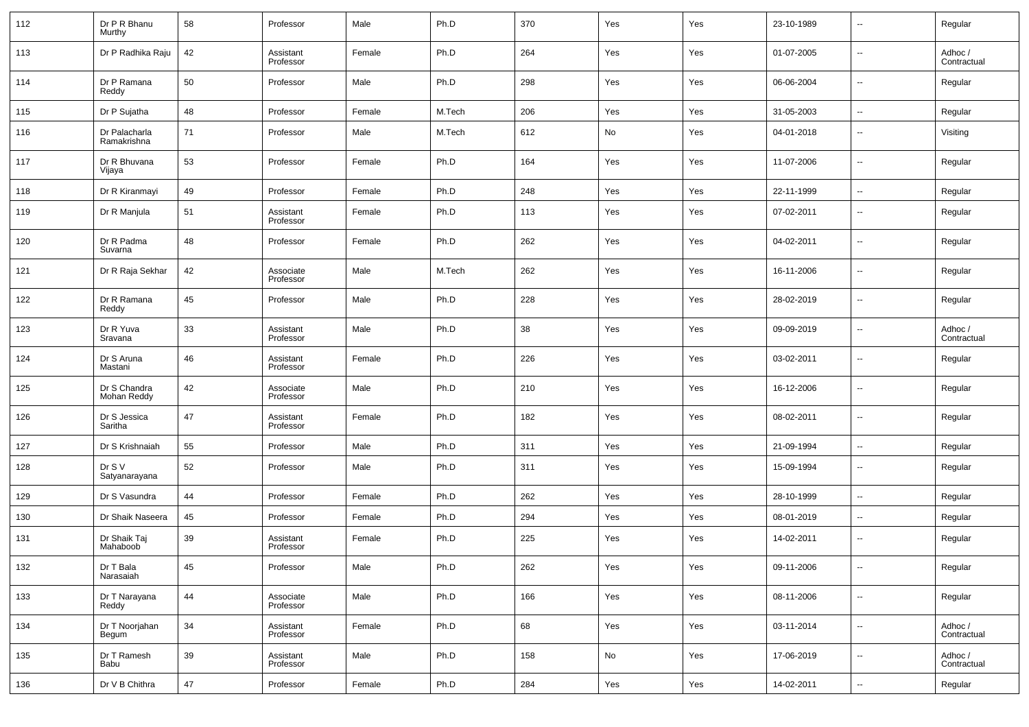| 112 | Dr P R Bhanu<br>Murthy       | 58 | Professor              | Male   | Ph.D   | 370 | Yes | Yes | 23-10-1989 | $\overline{\phantom{a}}$ | Regular                |
|-----|------------------------------|----|------------------------|--------|--------|-----|-----|-----|------------|--------------------------|------------------------|
| 113 | Dr P Radhika Raju            | 42 | Assistant<br>Professor | Female | Ph.D   | 264 | Yes | Yes | 01-07-2005 | $\overline{\phantom{a}}$ | Adhoc /<br>Contractual |
| 114 | Dr P Ramana<br>Reddy         | 50 | Professor              | Male   | Ph.D   | 298 | Yes | Yes | 06-06-2004 | $\overline{\phantom{a}}$ | Regular                |
| 115 | Dr P Sujatha                 | 48 | Professor              | Female | M.Tech | 206 | Yes | Yes | 31-05-2003 | $\overline{\phantom{a}}$ | Regular                |
| 116 | Dr Palacharla<br>Ramakrishna | 71 | Professor              | Male   | M.Tech | 612 | No  | Yes | 04-01-2018 | $\overline{\phantom{a}}$ | Visiting               |
| 117 | Dr R Bhuvana<br>Vijaya       | 53 | Professor              | Female | Ph.D   | 164 | Yes | Yes | 11-07-2006 | $\overline{\phantom{a}}$ | Regular                |
| 118 | Dr R Kiranmayi               | 49 | Professor              | Female | Ph.D   | 248 | Yes | Yes | 22-11-1999 | $\overline{\phantom{a}}$ | Regular                |
| 119 | Dr R Manjula                 | 51 | Assistant<br>Professor | Female | Ph.D   | 113 | Yes | Yes | 07-02-2011 | --                       | Regular                |
| 120 | Dr R Padma<br>Suvarna        | 48 | Professor              | Female | Ph.D   | 262 | Yes | Yes | 04-02-2011 | $\overline{\phantom{a}}$ | Regular                |
| 121 | Dr R Raja Sekhar             | 42 | Associate<br>Professor | Male   | M.Tech | 262 | Yes | Yes | 16-11-2006 | --                       | Regular                |
| 122 | Dr R Ramana<br>Reddy         | 45 | Professor              | Male   | Ph.D   | 228 | Yes | Yes | 28-02-2019 | $\overline{\phantom{a}}$ | Regular                |
| 123 | Dr R Yuva<br>Sravana         | 33 | Assistant<br>Professor | Male   | Ph.D   | 38  | Yes | Yes | 09-09-2019 | --                       | Adhoc /<br>Contractual |
| 124 | Dr S Aruna<br>Mastani        | 46 | Assistant<br>Professor | Female | Ph.D   | 226 | Yes | Yes | 03-02-2011 | --                       | Regular                |
| 125 | Dr S Chandra<br>Mohan Reddy  | 42 | Associate<br>Professor | Male   | Ph.D   | 210 | Yes | Yes | 16-12-2006 | $\sim$                   | Regular                |
| 126 | Dr S Jessica<br>Saritha      | 47 | Assistant<br>Professor | Female | Ph.D   | 182 | Yes | Yes | 08-02-2011 | $\overline{\phantom{a}}$ | Regular                |
| 127 | Dr S Krishnaiah              | 55 | Professor              | Male   | Ph.D   | 311 | Yes | Yes | 21-09-1994 | --                       | Regular                |
| 128 | Dr S V<br>Satyanarayana      | 52 | Professor              | Male   | Ph.D   | 311 | Yes | Yes | 15-09-1994 | $\overline{\phantom{a}}$ | Regular                |
| 129 | Dr S Vasundra                | 44 | Professor              | Female | Ph.D   | 262 | Yes | Yes | 28-10-1999 | --                       | Regular                |
| 130 | Dr Shaik Naseera             | 45 | Professor              | Female | Ph.D   | 294 | Yes | Yes | 08-01-2019 | --                       | Regular                |
| 131 | Dr Shaik Taj<br>Mahaboob     | 39 | Assistant<br>Professor | Female | Ph.D   | 225 | Yes | Yes | 14-02-2011 | --                       | Regular                |
| 132 | Dr T Bala<br>Narasaiah       | 45 | Professor              | Male   | Ph.D   | 262 | Yes | Yes | 09-11-2006 | $\overline{\phantom{a}}$ | Regular                |
| 133 | Dr T Narayana<br>Reddy       | 44 | Associate<br>Professor | Male   | Ph.D   | 166 | Yes | Yes | 08-11-2006 | $\overline{\phantom{a}}$ | Regular                |
| 134 | Dr T Noorjahan<br>Begum      | 34 | Assistant<br>Professor | Female | Ph.D   | 68  | Yes | Yes | 03-11-2014 | ۰.                       | Adhoc /<br>Contractual |
| 135 | Dr T Ramesh<br>Babu          | 39 | Assistant<br>Professor | Male   | Ph.D   | 158 | No  | Yes | 17-06-2019 | $\overline{\phantom{a}}$ | Adhoc /<br>Contractual |
| 136 | Dr V B Chithra               | 47 | Professor              | Female | Ph.D   | 284 | Yes | Yes | 14-02-2011 | $\overline{\phantom{a}}$ | Regular                |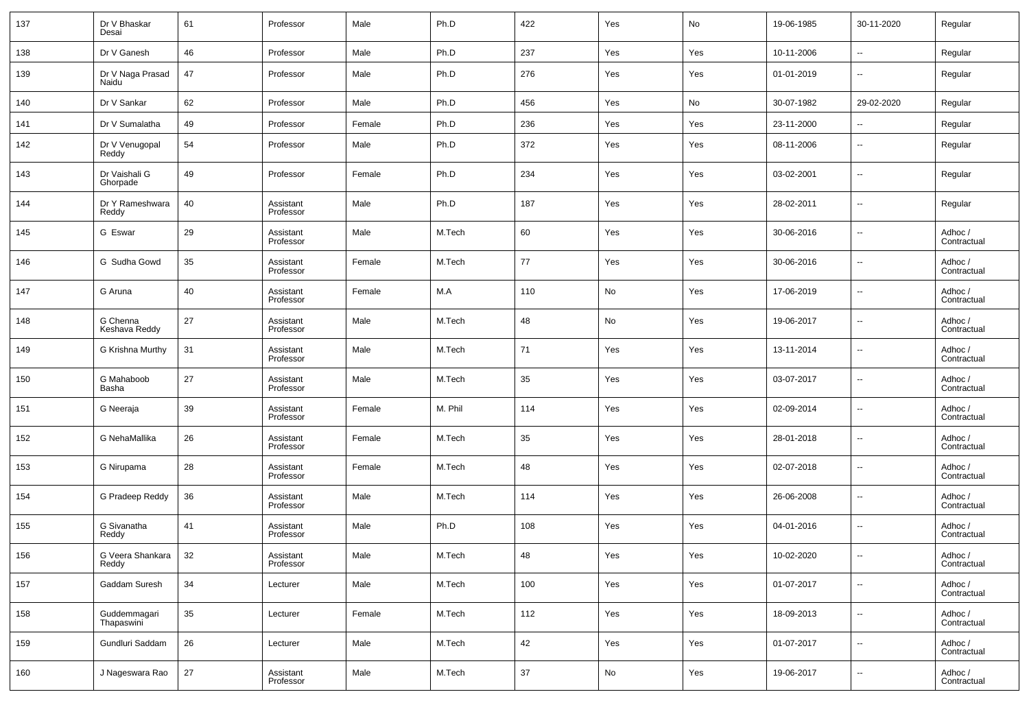| 137 | Dr V Bhaskar<br>Desai      | 61 | Professor              | Male   | Ph.D    | 422    | Yes | No  | 19-06-1985 | 30-11-2020               | Regular                |
|-----|----------------------------|----|------------------------|--------|---------|--------|-----|-----|------------|--------------------------|------------------------|
| 138 | Dr V Ganesh                | 46 | Professor              | Male   | Ph.D    | 237    | Yes | Yes | 10-11-2006 | $\overline{\phantom{a}}$ | Regular                |
| 139 | Dr V Naga Prasad<br>Naidu  | 47 | Professor              | Male   | Ph.D    | 276    | Yes | Yes | 01-01-2019 | $\overline{\phantom{a}}$ | Regular                |
| 140 | Dr V Sankar                | 62 | Professor              | Male   | Ph.D    | 456    | Yes | No  | 30-07-1982 | 29-02-2020               | Regular                |
| 141 | Dr V Sumalatha             | 49 | Professor              | Female | Ph.D    | 236    | Yes | Yes | 23-11-2000 | $\overline{\phantom{a}}$ | Regular                |
| 142 | Dr V Venugopal<br>Reddy    | 54 | Professor              | Male   | Ph.D    | 372    | Yes | Yes | 08-11-2006 | $\overline{\phantom{a}}$ | Regular                |
| 143 | Dr Vaishali G<br>Ghorpade  | 49 | Professor              | Female | Ph.D    | 234    | Yes | Yes | 03-02-2001 | $\overline{\phantom{a}}$ | Regular                |
| 144 | Dr Y Rameshwara<br>Reddy   | 40 | Assistant<br>Professor | Male   | Ph.D    | 187    | Yes | Yes | 28-02-2011 | $\overline{\phantom{a}}$ | Regular                |
| 145 | G Eswar                    | 29 | Assistant<br>Professor | Male   | M.Tech  | 60     | Yes | Yes | 30-06-2016 | $\overline{\phantom{a}}$ | Adhoc /<br>Contractual |
| 146 | G Sudha Gowd               | 35 | Assistant<br>Professor | Female | M.Tech  | 77     | Yes | Yes | 30-06-2016 | $\overline{\phantom{a}}$ | Adhoc /<br>Contractual |
| 147 | G Aruna                    | 40 | Assistant<br>Professor | Female | M.A     | 110    | No  | Yes | 17-06-2019 | $\overline{\phantom{a}}$ | Adhoc /<br>Contractual |
| 148 | G Chenna<br>Keshava Reddy  | 27 | Assistant<br>Professor | Male   | M.Tech  | 48     | No  | Yes | 19-06-2017 | $\overline{\phantom{a}}$ | Adhoc /<br>Contractual |
| 149 | G Krishna Murthy           | 31 | Assistant<br>Professor | Male   | M.Tech  | 71     | Yes | Yes | 13-11-2014 | $\overline{\phantom{a}}$ | Adhoc /<br>Contractual |
| 150 | G Mahaboob<br>Basha        | 27 | Assistant<br>Professor | Male   | M.Tech  | 35     | Yes | Yes | 03-07-2017 | $\overline{\phantom{a}}$ | Adhoc /<br>Contractual |
| 151 | G Neeraja                  | 39 | Assistant<br>Professor | Female | M. Phil | 114    | Yes | Yes | 02-09-2014 | $\overline{\phantom{a}}$ | Adhoc /<br>Contractual |
| 152 | G NehaMallika              | 26 | Assistant<br>Professor | Female | M.Tech  | 35     | Yes | Yes | 28-01-2018 | $\overline{\phantom{a}}$ | Adhoc /<br>Contractual |
| 153 | G Nirupama                 | 28 | Assistant<br>Professor | Female | M.Tech  | 48     | Yes | Yes | 02-07-2018 | $\overline{\phantom{a}}$ | Adhoc /<br>Contractual |
| 154 | G Pradeep Reddy            | 36 | Assistant<br>Professor | Male   | M.Tech  | 114    | Yes | Yes | 26-06-2008 | $\overline{\phantom{a}}$ | Adhoc /<br>Contractual |
| 155 | G Sivanatha<br>Reddy       | 41 | Assistant<br>Professor | Male   | Ph.D    | 108    | Yes | Yes | 04-01-2016 | $\overline{\phantom{a}}$ | Adhoc /<br>Contractual |
| 156 | G Veera Shankara<br>Reddy  | 32 | Assistant<br>Professor | Male   | M.Tech  | 48     | Yes | Yes | 10-02-2020 | $\overline{\phantom{a}}$ | Adhoc /<br>Contractual |
| 157 | Gaddam Suresh              | 34 | Lecturer               | Male   | M.Tech  | 100    | Yes | Yes | 01-07-2017 | $\overline{\phantom{a}}$ | Adhoc /<br>Contractual |
| 158 | Guddemmagari<br>Thapaswini | 35 | Lecturer               | Female | M.Tech  | 112    | Yes | Yes | 18-09-2013 | $\overline{\phantom{a}}$ | Adhoc /<br>Contractual |
| 159 | Gundluri Saddam            | 26 | Lecturer               | Male   | M.Tech  | $42\,$ | Yes | Yes | 01-07-2017 | ۰.                       | Adhoc /<br>Contractual |
| 160 | J Nageswara Rao            | 27 | Assistant<br>Professor | Male   | M.Tech  | $37\,$ | No  | Yes | 19-06-2017 | ۰.                       | Adhoc /<br>Contractual |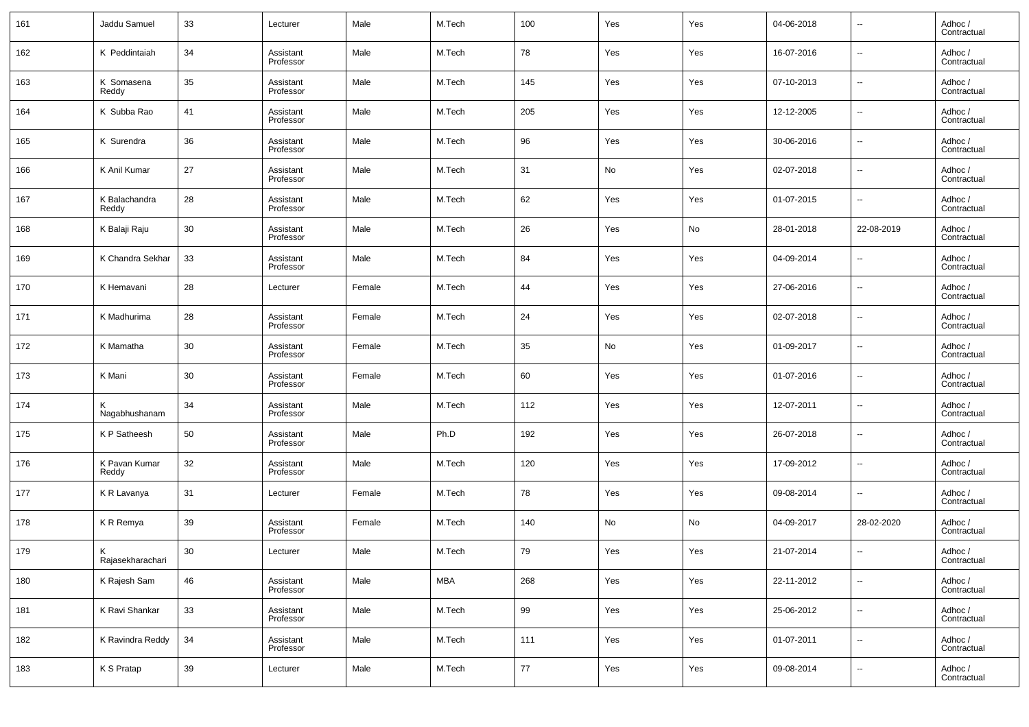| 161 | Jaddu Samuel           | 33 | Lecturer               | Male   | M.Tech     | 100    | Yes | Yes | 04-06-2018 | $\overline{\phantom{a}}$ | Adhoc /<br>Contractual |
|-----|------------------------|----|------------------------|--------|------------|--------|-----|-----|------------|--------------------------|------------------------|
| 162 | K Peddintaiah          | 34 | Assistant<br>Professor | Male   | M.Tech     | 78     | Yes | Yes | 16-07-2016 | ۰.                       | Adhoc /<br>Contractual |
| 163 | K Somasena<br>Reddy    | 35 | Assistant<br>Professor | Male   | M.Tech     | 145    | Yes | Yes | 07-10-2013 | ۰.                       | Adhoc /<br>Contractual |
| 164 | K Subba Rao            | 41 | Assistant<br>Professor | Male   | M.Tech     | 205    | Yes | Yes | 12-12-2005 | ۰.                       | Adhoc /<br>Contractual |
| 165 | K Surendra             | 36 | Assistant<br>Professor | Male   | M.Tech     | 96     | Yes | Yes | 30-06-2016 | ۰.                       | Adhoc /<br>Contractual |
| 166 | K Anil Kumar           | 27 | Assistant<br>Professor | Male   | M.Tech     | 31     | No  | Yes | 02-07-2018 | $\overline{\phantom{a}}$ | Adhoc /<br>Contractual |
| 167 | K Balachandra<br>Reddy | 28 | Assistant<br>Professor | Male   | M.Tech     | 62     | Yes | Yes | 01-07-2015 | ۰.                       | Adhoc /<br>Contractual |
| 168 | K Balaji Raju          | 30 | Assistant<br>Professor | Male   | M.Tech     | 26     | Yes | No  | 28-01-2018 | 22-08-2019               | Adhoc /<br>Contractual |
| 169 | K Chandra Sekhar       | 33 | Assistant<br>Professor | Male   | M.Tech     | 84     | Yes | Yes | 04-09-2014 | $\overline{\phantom{a}}$ | Adhoc /<br>Contractual |
| 170 | K Hemavani             | 28 | Lecturer               | Female | M.Tech     | 44     | Yes | Yes | 27-06-2016 | ۰.                       | Adhoc /<br>Contractual |
| 171 | K Madhurima            | 28 | Assistant<br>Professor | Female | M.Tech     | 24     | Yes | Yes | 02-07-2018 | ۰.                       | Adhoc /<br>Contractual |
| 172 | K Mamatha              | 30 | Assistant<br>Professor | Female | M.Tech     | 35     | No  | Yes | 01-09-2017 | ۰.                       | Adhoc /<br>Contractual |
| 173 | K Mani                 | 30 | Assistant<br>Professor | Female | M.Tech     | 60     | Yes | Yes | 01-07-2016 | ۰.                       | Adhoc /<br>Contractual |
| 174 | Nagabhushanam          | 34 | Assistant<br>Professor | Male   | M.Tech     | 112    | Yes | Yes | 12-07-2011 | $\overline{\phantom{a}}$ | Adhoc /<br>Contractual |
| 175 | K P Satheesh           | 50 | Assistant<br>Professor | Male   | Ph.D       | 192    | Yes | Yes | 26-07-2018 | ۰.                       | Adhoc /<br>Contractual |
| 176 | K Pavan Kumar<br>Reddy | 32 | Assistant<br>Professor | Male   | M.Tech     | 120    | Yes | Yes | 17-09-2012 | ۰.                       | Adhoc /<br>Contractual |
| 177 | K R Lavanya            | 31 | Lecturer               | Female | M.Tech     | 78     | Yes | Yes | 09-08-2014 | ۰.                       | Adhoc /<br>Contractual |
| 178 | KR Remya               | 39 | Assistant<br>Professor | Female | M.Tech     | 140    | No  | No  | 04-09-2017 | 28-02-2020               | Adhoc /<br>Contractual |
| 179 | K.<br>Rajasekharachari | 30 | Lecturer               | Male   | M.Tech     | 79     | Yes | Yes | 21-07-2014 | $\overline{\phantom{a}}$ | Adhoc /<br>Contractual |
| 180 | K Rajesh Sam           | 46 | Assistant<br>Professor | Male   | <b>MBA</b> | 268    | Yes | Yes | 22-11-2012 | $\overline{\phantom{a}}$ | Adhoc /<br>Contractual |
| 181 | K Ravi Shankar         | 33 | Assistant<br>Professor | Male   | M.Tech     | 99     | Yes | Yes | 25-06-2012 | $\overline{\phantom{a}}$ | Adhoc /<br>Contractual |
| 182 | K Ravindra Reddy       | 34 | Assistant<br>Professor | Male   | M.Tech     | 111    | Yes | Yes | 01-07-2011 | $\overline{\phantom{a}}$ | Adhoc /<br>Contractual |
| 183 | K S Pratap             | 39 | Lecturer               | Male   | M.Tech     | $77\,$ | Yes | Yes | 09-08-2014 | ۰.                       | Adhoc /<br>Contractual |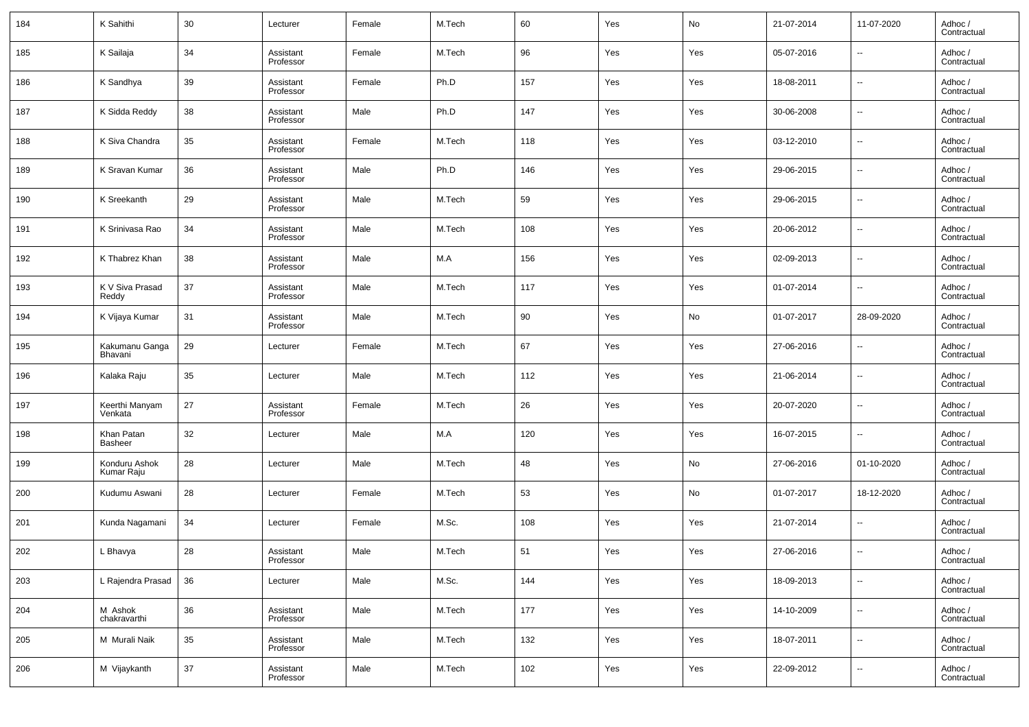| 184 | K Sahithi                    | 30 | Lecturer               | Female | M.Tech | 60  | Yes | No  | 21-07-2014 | 11-07-2020               | Adhoc /<br>Contractual |
|-----|------------------------------|----|------------------------|--------|--------|-----|-----|-----|------------|--------------------------|------------------------|
| 185 | K Sailaja                    | 34 | Assistant<br>Professor | Female | M.Tech | 96  | Yes | Yes | 05-07-2016 | $\overline{\phantom{a}}$ | Adhoc /<br>Contractual |
| 186 | K Sandhya                    | 39 | Assistant<br>Professor | Female | Ph.D   | 157 | Yes | Yes | 18-08-2011 | $\overline{\phantom{a}}$ | Adhoc /<br>Contractual |
| 187 | K Sidda Reddy                | 38 | Assistant<br>Professor | Male   | Ph.D   | 147 | Yes | Yes | 30-06-2008 | $\overline{\phantom{a}}$ | Adhoc /<br>Contractual |
| 188 | K Siva Chandra               | 35 | Assistant<br>Professor | Female | M.Tech | 118 | Yes | Yes | 03-12-2010 | $\overline{\phantom{a}}$ | Adhoc /<br>Contractual |
| 189 | K Sravan Kumar               | 36 | Assistant<br>Professor | Male   | Ph.D   | 146 | Yes | Yes | 29-06-2015 | $\overline{\phantom{a}}$ | Adhoc /<br>Contractual |
| 190 | K Sreekanth                  | 29 | Assistant<br>Professor | Male   | M.Tech | 59  | Yes | Yes | 29-06-2015 | $\overline{\phantom{a}}$ | Adhoc /<br>Contractual |
| 191 | K Srinivasa Rao              | 34 | Assistant<br>Professor | Male   | M.Tech | 108 | Yes | Yes | 20-06-2012 | $\overline{\phantom{a}}$ | Adhoc /<br>Contractual |
| 192 | K Thabrez Khan               | 38 | Assistant<br>Professor | Male   | M.A    | 156 | Yes | Yes | 02-09-2013 | $\overline{\phantom{a}}$ | Adhoc /<br>Contractual |
| 193 | K V Siva Prasad<br>Reddy     | 37 | Assistant<br>Professor | Male   | M.Tech | 117 | Yes | Yes | 01-07-2014 | $\overline{\phantom{a}}$ | Adhoc /<br>Contractual |
| 194 | K Vijaya Kumar               | 31 | Assistant<br>Professor | Male   | M.Tech | 90  | Yes | No  | 01-07-2017 | 28-09-2020               | Adhoc /<br>Contractual |
| 195 | Kakumanu Ganga<br>Bhavani    | 29 | Lecturer               | Female | M.Tech | 67  | Yes | Yes | 27-06-2016 | $\overline{\phantom{a}}$ | Adhoc /<br>Contractual |
| 196 | Kalaka Raju                  | 35 | Lecturer               | Male   | M.Tech | 112 | Yes | Yes | 21-06-2014 | $\overline{\phantom{a}}$ | Adhoc /<br>Contractual |
| 197 | Keerthi Manyam<br>Venkata    | 27 | Assistant<br>Professor | Female | M.Tech | 26  | Yes | Yes | 20-07-2020 | $\overline{\phantom{a}}$ | Adhoc /<br>Contractual |
| 198 | Khan Patan<br><b>Basheer</b> | 32 | Lecturer               | Male   | M.A    | 120 | Yes | Yes | 16-07-2015 | $\overline{\phantom{a}}$ | Adhoc /<br>Contractual |
| 199 | Konduru Ashok<br>Kumar Raju  | 28 | Lecturer               | Male   | M.Tech | 48  | Yes | No  | 27-06-2016 | 01-10-2020               | Adhoc /<br>Contractual |
| 200 | Kudumu Aswani                | 28 | Lecturer               | Female | M.Tech | 53  | Yes | No  | 01-07-2017 | 18-12-2020               | Adhoc /<br>Contractual |
| 201 | Kunda Nagamani               | 34 | Lecturer               | Female | M.Sc.  | 108 | Yes | Yes | 21-07-2014 | $\overline{\phantom{a}}$ | Adhoc /<br>Contractual |
| 202 | L Bhavya                     | 28 | Assistant<br>Professor | Male   | M.Tech | 51  | Yes | Yes | 27-06-2016 | $\overline{\phantom{a}}$ | Adhoc /<br>Contractual |
| 203 | L Rajendra Prasad            | 36 | Lecturer               | Male   | M.Sc.  | 144 | Yes | Yes | 18-09-2013 | ۰.                       | Adhoc /<br>Contractual |
| 204 | M Ashok<br>chakravarthi      | 36 | Assistant<br>Professor | Male   | M.Tech | 177 | Yes | Yes | 14-10-2009 | ۰.                       | Adhoc /<br>Contractual |
| 205 | M Murali Naik                | 35 | Assistant<br>Professor | Male   | M.Tech | 132 | Yes | Yes | 18-07-2011 | ۰.                       | Adhoc /<br>Contractual |
| 206 | M Vijaykanth                 | 37 | Assistant<br>Professor | Male   | M.Tech | 102 | Yes | Yes | 22-09-2012 | $\overline{\phantom{a}}$ | Adhoc /<br>Contractual |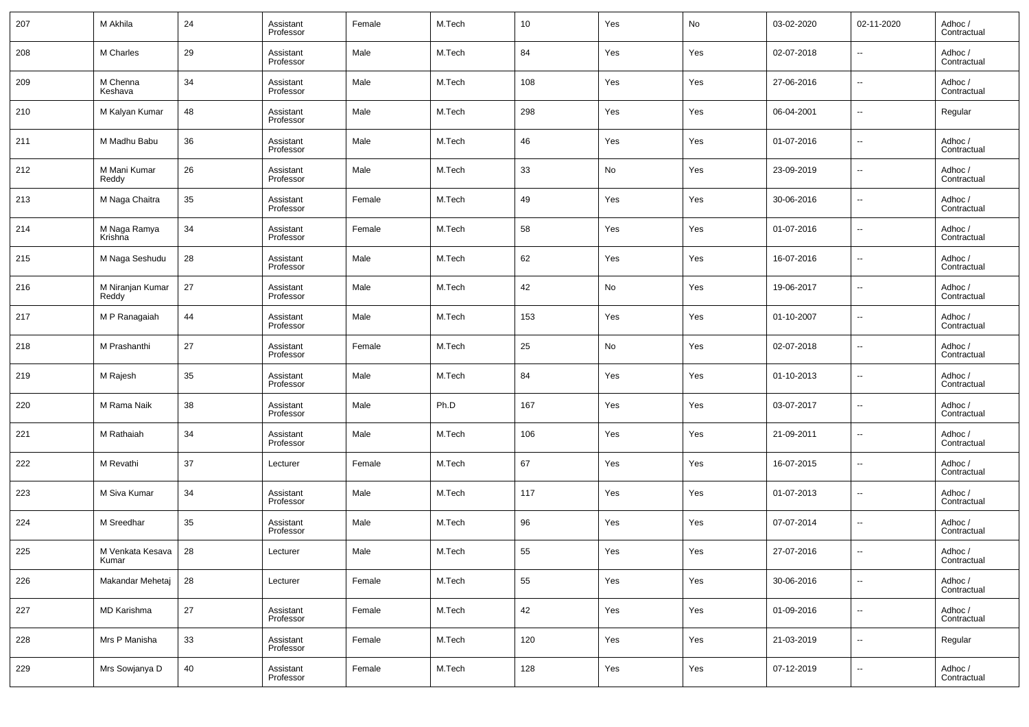| 207 | M Akhila                  | 24 | Assistant<br>Professor | Female | M.Tech | 10  | Yes | No  | 03-02-2020 | 02-11-2020               | Adhoc /<br>Contractual |
|-----|---------------------------|----|------------------------|--------|--------|-----|-----|-----|------------|--------------------------|------------------------|
| 208 | M Charles                 | 29 | Assistant<br>Professor | Male   | M.Tech | 84  | Yes | Yes | 02-07-2018 | $\overline{\phantom{a}}$ | Adhoc /<br>Contractual |
| 209 | M Chenna<br>Keshava       | 34 | Assistant<br>Professor | Male   | M.Tech | 108 | Yes | Yes | 27-06-2016 | $\overline{\phantom{a}}$ | Adhoc /<br>Contractual |
| 210 | M Kalyan Kumar            | 48 | Assistant<br>Professor | Male   | M.Tech | 298 | Yes | Yes | 06-04-2001 | $\overline{\phantom{a}}$ | Regular                |
| 211 | M Madhu Babu              | 36 | Assistant<br>Professor | Male   | M.Tech | 46  | Yes | Yes | 01-07-2016 | $\overline{\phantom{a}}$ | Adhoc /<br>Contractual |
| 212 | M Mani Kumar<br>Reddy     | 26 | Assistant<br>Professor | Male   | M.Tech | 33  | No  | Yes | 23-09-2019 | $\overline{\phantom{a}}$ | Adhoc /<br>Contractual |
| 213 | M Naga Chaitra            | 35 | Assistant<br>Professor | Female | M.Tech | 49  | Yes | Yes | 30-06-2016 | $\overline{\phantom{a}}$ | Adhoc /<br>Contractual |
| 214 | M Naga Ramya<br>Krishna   | 34 | Assistant<br>Professor | Female | M.Tech | 58  | Yes | Yes | 01-07-2016 | $\overline{\phantom{a}}$ | Adhoc /<br>Contractual |
| 215 | M Naga Seshudu            | 28 | Assistant<br>Professor | Male   | M.Tech | 62  | Yes | Yes | 16-07-2016 | $\overline{\phantom{a}}$ | Adhoc /<br>Contractual |
| 216 | M Niranjan Kumar<br>Reddy | 27 | Assistant<br>Professor | Male   | M.Tech | 42  | No  | Yes | 19-06-2017 | $\overline{\phantom{a}}$ | Adhoc /<br>Contractual |
| 217 | M P Ranagaiah             | 44 | Assistant<br>Professor | Male   | M.Tech | 153 | Yes | Yes | 01-10-2007 | $\overline{\phantom{a}}$ | Adhoc /<br>Contractual |
| 218 | M Prashanthi              | 27 | Assistant<br>Professor | Female | M.Tech | 25  | No  | Yes | 02-07-2018 | $\overline{\phantom{a}}$ | Adhoc /<br>Contractual |
| 219 | M Rajesh                  | 35 | Assistant<br>Professor | Male   | M.Tech | 84  | Yes | Yes | 01-10-2013 | $\overline{\phantom{a}}$ | Adhoc /<br>Contractual |
| 220 | M Rama Naik               | 38 | Assistant<br>Professor | Male   | Ph.D   | 167 | Yes | Yes | 03-07-2017 | $\overline{\phantom{a}}$ | Adhoc /<br>Contractual |
| 221 | M Rathaiah                | 34 | Assistant<br>Professor | Male   | M.Tech | 106 | Yes | Yes | 21-09-2011 | $\overline{\phantom{a}}$ | Adhoc /<br>Contractual |
| 222 | M Revathi                 | 37 | Lecturer               | Female | M.Tech | 67  | Yes | Yes | 16-07-2015 | $\overline{\phantom{a}}$ | Adhoc /<br>Contractual |
| 223 | M Siva Kumar              | 34 | Assistant<br>Professor | Male   | M.Tech | 117 | Yes | Yes | 01-07-2013 | $\overline{\phantom{a}}$ | Adhoc /<br>Contractual |
| 224 | M Sreedhar                | 35 | Assistant<br>Professor | Male   | M.Tech | 96  | Yes | Yes | 07-07-2014 | $\overline{\phantom{a}}$ | Adhoc /<br>Contractual |
| 225 | M Venkata Kesava<br>Kumar | 28 | Lecturer               | Male   | M.Tech | 55  | Yes | Yes | 27-07-2016 | $\overline{\phantom{a}}$ | Adhoc /<br>Contractual |
| 226 | Makandar Mehetaj          | 28 | Lecturer               | Female | M.Tech | 55  | Yes | Yes | 30-06-2016 | $\overline{\phantom{a}}$ | Adhoc /<br>Contractual |
| 227 | MD Karishma               | 27 | Assistant<br>Professor | Female | M.Tech | 42  | Yes | Yes | 01-09-2016 | $\overline{\phantom{a}}$ | Adhoc /<br>Contractual |
| 228 | Mrs P Manisha             | 33 | Assistant<br>Professor | Female | M.Tech | 120 | Yes | Yes | 21-03-2019 | $\overline{\phantom{a}}$ | Regular                |
| 229 | Mrs Sowjanya D            | 40 | Assistant<br>Professor | Female | M.Tech | 128 | Yes | Yes | 07-12-2019 | ۰.                       | Adhoc /<br>Contractual |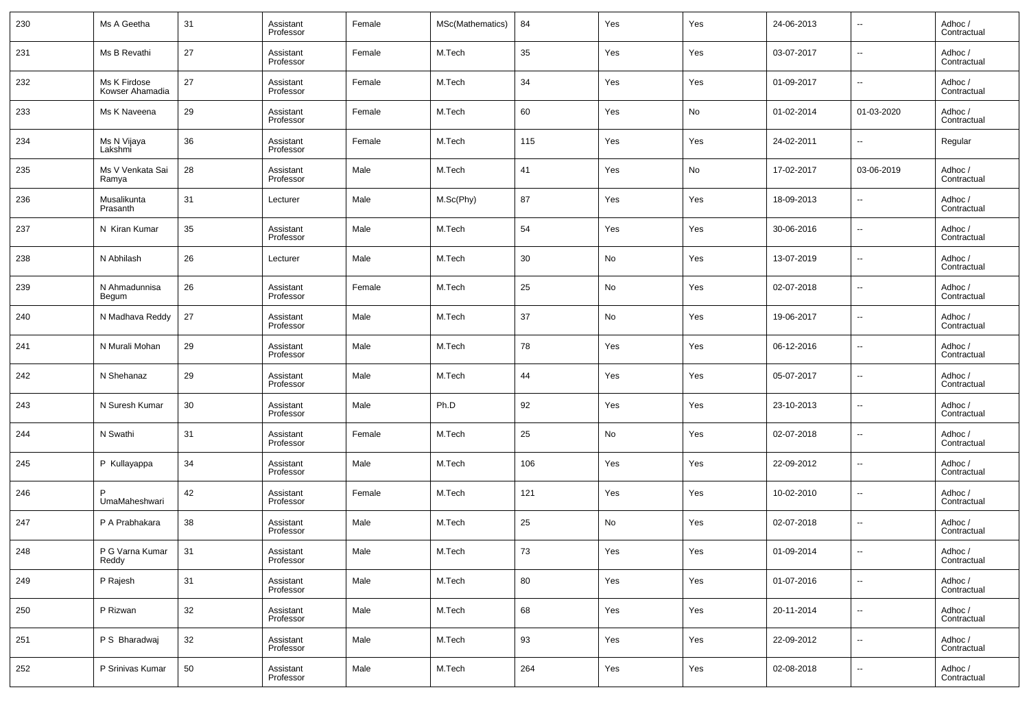| 230 | Ms A Geetha                     | 31 | Assistant<br>Professor | Female | MSc(Mathematics) | 84  | Yes | Yes | 24-06-2013 | --                       | Adhoc /<br>Contractual |
|-----|---------------------------------|----|------------------------|--------|------------------|-----|-----|-----|------------|--------------------------|------------------------|
| 231 | Ms B Revathi                    | 27 | Assistant<br>Professor | Female | M.Tech           | 35  | Yes | Yes | 03-07-2017 | $\overline{\phantom{a}}$ | Adhoc /<br>Contractual |
| 232 | Ms K Firdose<br>Kowser Ahamadia | 27 | Assistant<br>Professor | Female | M.Tech           | 34  | Yes | Yes | 01-09-2017 | ۰.                       | Adhoc /<br>Contractual |
| 233 | Ms K Naveena                    | 29 | Assistant<br>Professor | Female | M.Tech           | 60  | Yes | No  | 01-02-2014 | 01-03-2020               | Adhoc /<br>Contractual |
| 234 | Ms N Vijaya<br>Lakshmi          | 36 | Assistant<br>Professor | Female | M.Tech           | 115 | Yes | Yes | 24-02-2011 | $\overline{\phantom{a}}$ | Regular                |
| 235 | Ms V Venkata Sai<br>Ramya       | 28 | Assistant<br>Professor | Male   | M.Tech           | 41  | Yes | No  | 17-02-2017 | 03-06-2019               | Adhoc /<br>Contractual |
| 236 | Musalikunta<br>Prasanth         | 31 | Lecturer               | Male   | M.Sc(Phy)        | 87  | Yes | Yes | 18-09-2013 | $\overline{\phantom{a}}$ | Adhoc /<br>Contractual |
| 237 | N Kiran Kumar                   | 35 | Assistant<br>Professor | Male   | M.Tech           | 54  | Yes | Yes | 30-06-2016 | $\overline{\phantom{a}}$ | Adhoc /<br>Contractual |
| 238 | N Abhilash                      | 26 | Lecturer               | Male   | M.Tech           | 30  | No  | Yes | 13-07-2019 | $\overline{\phantom{a}}$ | Adhoc /<br>Contractual |
| 239 | N Ahmadunnisa<br>Begum          | 26 | Assistant<br>Professor | Female | M.Tech           | 25  | No  | Yes | 02-07-2018 | $\overline{\phantom{a}}$ | Adhoc /<br>Contractual |
| 240 | N Madhava Reddy                 | 27 | Assistant<br>Professor | Male   | M.Tech           | 37  | No  | Yes | 19-06-2017 | $\overline{\phantom{a}}$ | Adhoc /<br>Contractual |
| 241 | N Murali Mohan                  | 29 | Assistant<br>Professor | Male   | M.Tech           | 78  | Yes | Yes | 06-12-2016 | $\overline{\phantom{a}}$ | Adhoc /<br>Contractual |
| 242 | N Shehanaz                      | 29 | Assistant<br>Professor | Male   | M.Tech           | 44  | Yes | Yes | 05-07-2017 | $\overline{\phantom{a}}$ | Adhoc /<br>Contractual |
| 243 | N Suresh Kumar                  | 30 | Assistant<br>Professor | Male   | Ph.D             | 92  | Yes | Yes | 23-10-2013 | $\overline{\phantom{a}}$ | Adhoc /<br>Contractual |
| 244 | N Swathi                        | 31 | Assistant<br>Professor | Female | M.Tech           | 25  | No  | Yes | 02-07-2018 | $\overline{\phantom{a}}$ | Adhoc /<br>Contractual |
| 245 | P Kullayappa                    | 34 | Assistant<br>Professor | Male   | M.Tech           | 106 | Yes | Yes | 22-09-2012 | $\overline{\phantom{a}}$ | Adhoc /<br>Contractual |
| 246 | UmaMaheshwari                   | 42 | Assistant<br>Professor | Female | M.Tech           | 121 | Yes | Yes | 10-02-2010 | $\overline{\phantom{a}}$ | Adhoc /<br>Contractual |
| 247 | P A Prabhakara                  | 38 | Assistant<br>Professor | Male   | M.Tech           | 25  | No  | Yes | 02-07-2018 | $\overline{\phantom{a}}$ | Adhoc /<br>Contractual |
| 248 | P G Varna Kumar<br>Reddy        | 31 | Assistant<br>Professor | Male   | M.Tech           | 73  | Yes | Yes | 01-09-2014 | $\overline{\phantom{a}}$ | Adhoc /<br>Contractual |
| 249 | P Rajesh                        | 31 | Assistant<br>Professor | Male   | M.Tech           | 80  | Yes | Yes | 01-07-2016 | ۰.                       | Adhoc /<br>Contractual |
| 250 | P Rizwan                        | 32 | Assistant<br>Professor | Male   | M.Tech           | 68  | Yes | Yes | 20-11-2014 | $\overline{\phantom{a}}$ | Adhoc /<br>Contractual |
| 251 | P S Bharadwaj                   | 32 | Assistant<br>Professor | Male   | M.Tech           | 93  | Yes | Yes | 22-09-2012 | ۰.                       | Adhoc /<br>Contractual |
| 252 | P Srinivas Kumar                | 50 | Assistant<br>Professor | Male   | M.Tech           | 264 | Yes | Yes | 02-08-2018 | ۰.                       | Adhoc /<br>Contractual |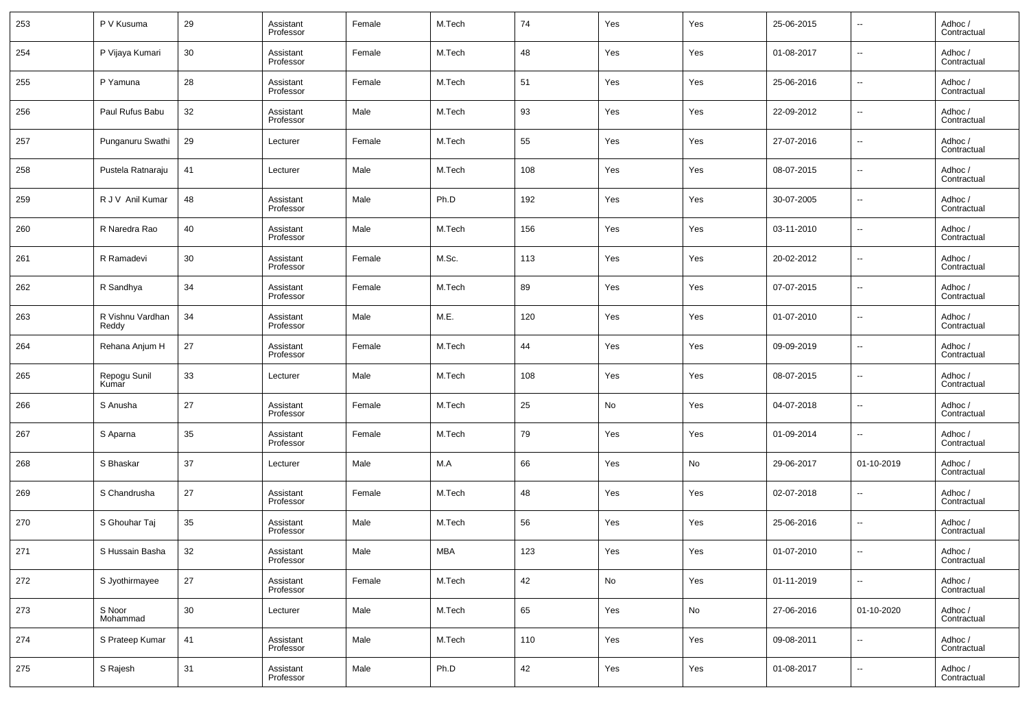| 253 | P V Kusuma                | 29 | Assistant<br>Professor | Female | M.Tech | 74  | Yes           | Yes | 25-06-2015 | $\overline{\phantom{a}}$ | Adhoc /<br>Contractual |
|-----|---------------------------|----|------------------------|--------|--------|-----|---------------|-----|------------|--------------------------|------------------------|
| 254 | P Vijaya Kumari           | 30 | Assistant<br>Professor | Female | M.Tech | 48  | Yes           | Yes | 01-08-2017 | $\overline{\phantom{a}}$ | Adhoc /<br>Contractual |
| 255 | P Yamuna                  | 28 | Assistant<br>Professor | Female | M.Tech | 51  | Yes           | Yes | 25-06-2016 | $\overline{\phantom{a}}$ | Adhoc /<br>Contractual |
| 256 | Paul Rufus Babu           | 32 | Assistant<br>Professor | Male   | M.Tech | 93  | Yes           | Yes | 22-09-2012 | $\overline{\phantom{a}}$ | Adhoc /<br>Contractual |
| 257 | Punganuru Swathi          | 29 | Lecturer               | Female | M.Tech | 55  | Yes           | Yes | 27-07-2016 | $\overline{\phantom{a}}$ | Adhoc /<br>Contractual |
| 258 | Pustela Ratnaraju         | 41 | Lecturer               | Male   | M.Tech | 108 | Yes           | Yes | 08-07-2015 | $\overline{\phantom{a}}$ | Adhoc /<br>Contractual |
| 259 | R J V Anil Kumar          | 48 | Assistant<br>Professor | Male   | Ph.D   | 192 | Yes           | Yes | 30-07-2005 | $\overline{\phantom{a}}$ | Adhoc /<br>Contractual |
| 260 | R Naredra Rao             | 40 | Assistant<br>Professor | Male   | M.Tech | 156 | Yes           | Yes | 03-11-2010 | $\overline{\phantom{a}}$ | Adhoc /<br>Contractual |
| 261 | R Ramadevi                | 30 | Assistant<br>Professor | Female | M.Sc.  | 113 | Yes           | Yes | 20-02-2012 | $\overline{\phantom{a}}$ | Adhoc /<br>Contractual |
| 262 | R Sandhya                 | 34 | Assistant<br>Professor | Female | M.Tech | 89  | Yes           | Yes | 07-07-2015 | $\overline{\phantom{a}}$ | Adhoc /<br>Contractual |
| 263 | R Vishnu Vardhan<br>Reddy | 34 | Assistant<br>Professor | Male   | M.E.   | 120 | Yes           | Yes | 01-07-2010 | $\overline{\phantom{a}}$ | Adhoc /<br>Contractual |
| 264 | Rehana Anjum H            | 27 | Assistant<br>Professor | Female | M.Tech | 44  | Yes           | Yes | 09-09-2019 | $\overline{\phantom{a}}$ | Adhoc /<br>Contractual |
| 265 | Repogu Sunil<br>Kumar     | 33 | Lecturer               | Male   | M.Tech | 108 | Yes           | Yes | 08-07-2015 | $\overline{\phantom{a}}$ | Adhoc /<br>Contractual |
| 266 | S Anusha                  | 27 | Assistant<br>Professor | Female | M.Tech | 25  | No            | Yes | 04-07-2018 | $\overline{\phantom{a}}$ | Adhoc /<br>Contractual |
| 267 | S Aparna                  | 35 | Assistant<br>Professor | Female | M.Tech | 79  | Yes           | Yes | 01-09-2014 | $\overline{\phantom{a}}$ | Adhoc /<br>Contractual |
| 268 | S Bhaskar                 | 37 | Lecturer               | Male   | M.A    | 66  | Yes           | No  | 29-06-2017 | 01-10-2019               | Adhoc /<br>Contractual |
| 269 | S Chandrusha              | 27 | Assistant<br>Professor | Female | M.Tech | 48  | Yes           | Yes | 02-07-2018 | $\overline{\phantom{a}}$ | Adhoc /<br>Contractual |
| 270 | S Ghouhar Taj             | 35 | Assistant<br>Professor | Male   | M.Tech | 56  | Yes           | Yes | 25-06-2016 | $\overline{\phantom{a}}$ | Adhoc /<br>Contractual |
| 271 | S Hussain Basha           | 32 | Assistant<br>Professor | Male   | MBA    | 123 | Yes           | Yes | 01-07-2010 | $\overline{\phantom{a}}$ | Adhoc /<br>Contractual |
| 272 | S Jyothirmayee            | 27 | Assistant<br>Professor | Female | M.Tech | 42  | $\mathsf{No}$ | Yes | 01-11-2019 | ۰.                       | Adhoc /<br>Contractual |
| 273 | S Noor<br>Mohammad        | 30 | Lecturer               | Male   | M.Tech | 65  | Yes           | No  | 27-06-2016 | 01-10-2020               | Adhoc /<br>Contractual |
| 274 | S Prateep Kumar           | 41 | Assistant<br>Professor | Male   | M.Tech | 110 | Yes           | Yes | 09-08-2011 | ۰.                       | Adhoc /<br>Contractual |
| 275 | S Rajesh                  | 31 | Assistant<br>Professor | Male   | Ph.D   | 42  | Yes           | Yes | 01-08-2017 | ۰.                       | Adhoc /<br>Contractual |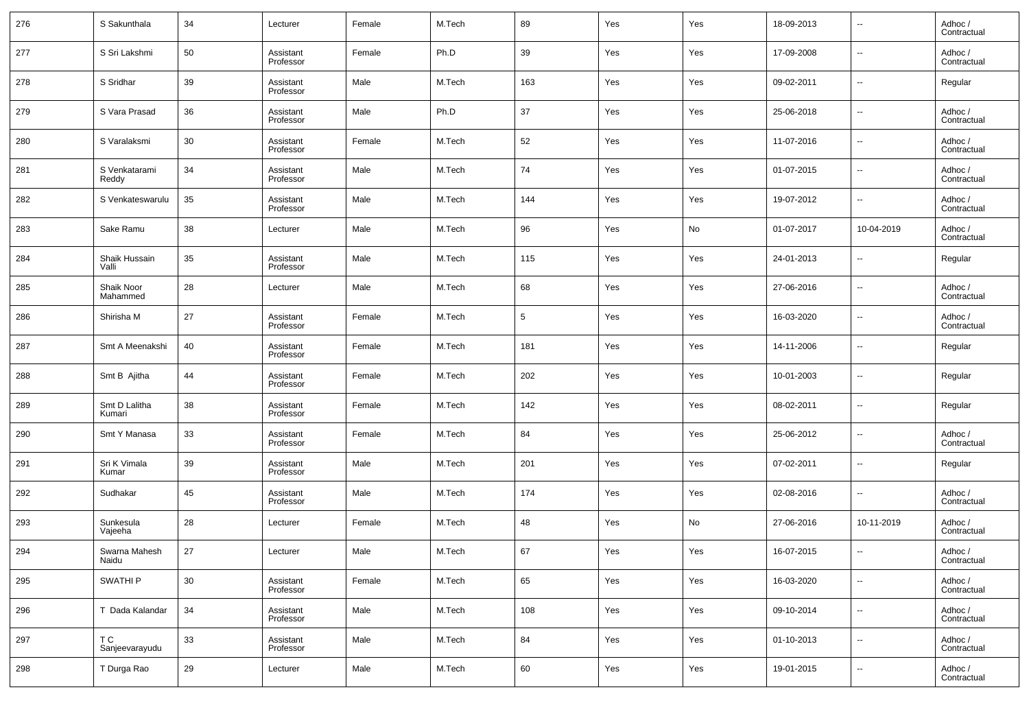| 276 | S Sakunthala            | 34 | Lecturer               | Female | M.Tech | 89     | Yes | Yes | 18-09-2013 | $\overline{\phantom{a}}$ | Adhoc /<br>Contractual |
|-----|-------------------------|----|------------------------|--------|--------|--------|-----|-----|------------|--------------------------|------------------------|
| 277 | S Sri Lakshmi           | 50 | Assistant<br>Professor | Female | Ph.D   | 39     | Yes | Yes | 17-09-2008 | $\overline{\phantom{a}}$ | Adhoc /<br>Contractual |
| 278 | S Sridhar               | 39 | Assistant<br>Professor | Male   | M.Tech | 163    | Yes | Yes | 09-02-2011 | $\overline{\phantom{a}}$ | Regular                |
| 279 | S Vara Prasad           | 36 | Assistant<br>Professor | Male   | Ph.D   | 37     | Yes | Yes | 25-06-2018 | $\overline{\phantom{a}}$ | Adhoc /<br>Contractual |
| 280 | S Varalaksmi            | 30 | Assistant<br>Professor | Female | M.Tech | 52     | Yes | Yes | 11-07-2016 | $\overline{\phantom{a}}$ | Adhoc /<br>Contractual |
| 281 | S Venkatarami<br>Reddy  | 34 | Assistant<br>Professor | Male   | M.Tech | 74     | Yes | Yes | 01-07-2015 | $\overline{\phantom{a}}$ | Adhoc /<br>Contractual |
| 282 | S Venkateswarulu        | 35 | Assistant<br>Professor | Male   | M.Tech | 144    | Yes | Yes | 19-07-2012 | $\overline{\phantom{a}}$ | Adhoc /<br>Contractual |
| 283 | Sake Ramu               | 38 | Lecturer               | Male   | M.Tech | 96     | Yes | No  | 01-07-2017 | 10-04-2019               | Adhoc /<br>Contractual |
| 284 | Shaik Hussain<br>Valli  | 35 | Assistant<br>Professor | Male   | M.Tech | 115    | Yes | Yes | 24-01-2013 | $\overline{\phantom{a}}$ | Regular                |
| 285 | Shaik Noor<br>Mahammed  | 28 | Lecturer               | Male   | M.Tech | 68     | Yes | Yes | 27-06-2016 | $\overline{\phantom{a}}$ | Adhoc /<br>Contractual |
| 286 | Shirisha M              | 27 | Assistant<br>Professor | Female | M.Tech | 5      | Yes | Yes | 16-03-2020 | $\overline{\phantom{a}}$ | Adhoc /<br>Contractual |
| 287 | Smt A Meenakshi         | 40 | Assistant<br>Professor | Female | M.Tech | 181    | Yes | Yes | 14-11-2006 | $\overline{\phantom{a}}$ | Regular                |
| 288 | Smt B Ajitha            | 44 | Assistant<br>Professor | Female | M.Tech | 202    | Yes | Yes | 10-01-2003 | $\overline{\phantom{a}}$ | Regular                |
| 289 | Smt D Lalitha<br>Kumari | 38 | Assistant<br>Professor | Female | M.Tech | 142    | Yes | Yes | 08-02-2011 | $\overline{\phantom{a}}$ | Regular                |
| 290 | Smt Y Manasa            | 33 | Assistant<br>Professor | Female | M.Tech | 84     | Yes | Yes | 25-06-2012 | $\overline{\phantom{a}}$ | Adhoc /<br>Contractual |
| 291 | Sri K Vimala<br>Kumar   | 39 | Assistant<br>Professor | Male   | M.Tech | 201    | Yes | Yes | 07-02-2011 | $\overline{\phantom{a}}$ | Regular                |
| 292 | Sudhakar                | 45 | Assistant<br>Professor | Male   | M.Tech | 174    | Yes | Yes | 02-08-2016 | $\overline{\phantom{a}}$ | Adhoc /<br>Contractual |
| 293 | Sunkesula<br>Vajeeha    | 28 | Lecturer               | Female | M.Tech | 48     | Yes | No  | 27-06-2016 | 10-11-2019               | Adhoc /<br>Contractual |
| 294 | Swarna Mahesh<br>Naidu  | 27 | Lecturer               | Male   | M.Tech | 67     | Yes | Yes | 16-07-2015 | $\overline{\phantom{a}}$ | Adhoc /<br>Contractual |
| 295 | SWATHI P                | 30 | Assistant<br>Professor | Female | M.Tech | 65     | Yes | Yes | 16-03-2020 | $\overline{\phantom{a}}$ | Adhoc /<br>Contractual |
| 296 | T Dada Kalandar         | 34 | Assistant<br>Professor | Male   | M.Tech | 108    | Yes | Yes | 09-10-2014 | $\overline{\phantom{a}}$ | Adhoc /<br>Contractual |
| 297 | T C<br>Sanjeevarayudu   | 33 | Assistant<br>Professor | Male   | M.Tech | 84     | Yes | Yes | 01-10-2013 | $\overline{\phantom{a}}$ | Adhoc /<br>Contractual |
| 298 | T Durga Rao             | 29 | Lecturer               | Male   | M.Tech | $60\,$ | Yes | Yes | 19-01-2015 | $\overline{\phantom{a}}$ | Adhoc /<br>Contractual |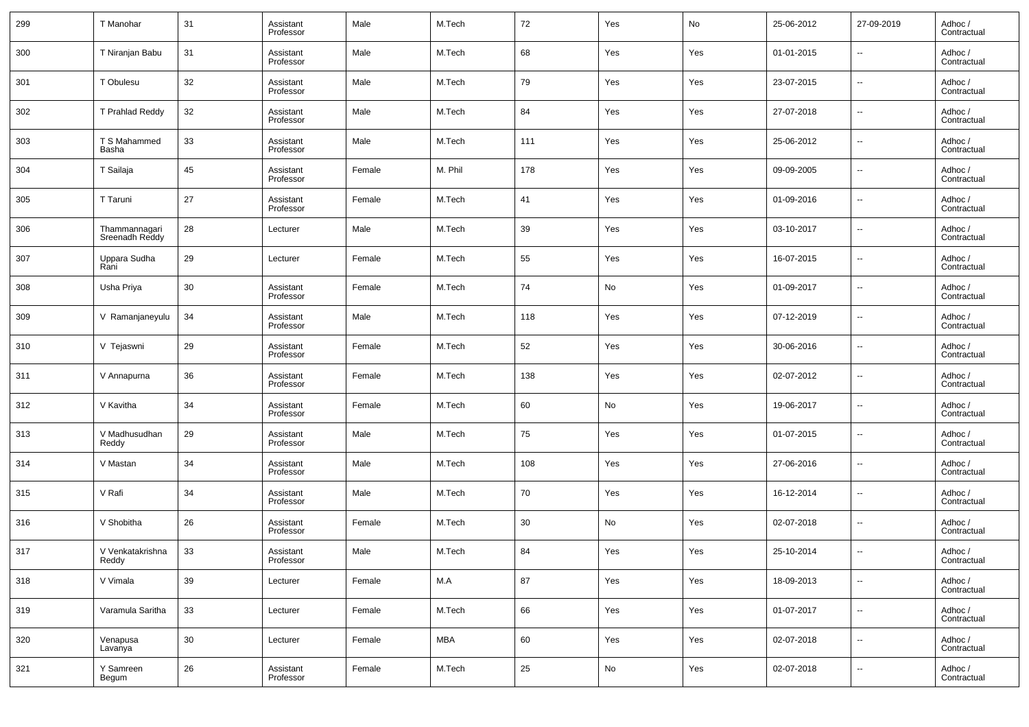| 299 | T Manohar                       | 31     | Assistant<br>Professor | Male   | M.Tech  | 72  | Yes | No  | 25-06-2012 | 27-09-2019               | Adhoc /<br>Contractual |
|-----|---------------------------------|--------|------------------------|--------|---------|-----|-----|-----|------------|--------------------------|------------------------|
| 300 | T Niranjan Babu                 | 31     | Assistant<br>Professor | Male   | M.Tech  | 68  | Yes | Yes | 01-01-2015 | $\overline{\phantom{a}}$ | Adhoc /<br>Contractual |
| 301 | T Obulesu                       | 32     | Assistant<br>Professor | Male   | M.Tech  | 79  | Yes | Yes | 23-07-2015 | $\overline{\phantom{a}}$ | Adhoc /<br>Contractual |
| 302 | T Prahlad Reddy                 | 32     | Assistant<br>Professor | Male   | M.Tech  | 84  | Yes | Yes | 27-07-2018 | $\overline{\phantom{a}}$ | Adhoc /<br>Contractual |
| 303 | T S Mahammed<br>Basha           | 33     | Assistant<br>Professor | Male   | M.Tech  | 111 | Yes | Yes | 25-06-2012 | $\overline{\phantom{a}}$ | Adhoc /<br>Contractual |
| 304 | T Sailaja                       | 45     | Assistant<br>Professor | Female | M. Phil | 178 | Yes | Yes | 09-09-2005 | $\overline{\phantom{a}}$ | Adhoc /<br>Contractual |
| 305 | T Taruni                        | 27     | Assistant<br>Professor | Female | M.Tech  | 41  | Yes | Yes | 01-09-2016 | $\overline{\phantom{a}}$ | Adhoc /<br>Contractual |
| 306 | Thammannagari<br>Sreenadh Reddy | 28     | Lecturer               | Male   | M.Tech  | 39  | Yes | Yes | 03-10-2017 | $\overline{\phantom{a}}$ | Adhoc /<br>Contractual |
| 307 | Uppara Sudha<br>Rani            | 29     | Lecturer               | Female | M.Tech  | 55  | Yes | Yes | 16-07-2015 | $\overline{\phantom{a}}$ | Adhoc /<br>Contractual |
| 308 | Usha Priya                      | 30     | Assistant<br>Professor | Female | M.Tech  | 74  | No  | Yes | 01-09-2017 | $\overline{\phantom{a}}$ | Adhoc /<br>Contractual |
| 309 | V Ramanjaneyulu                 | 34     | Assistant<br>Professor | Male   | M.Tech  | 118 | Yes | Yes | 07-12-2019 | $\overline{\phantom{a}}$ | Adhoc /<br>Contractual |
| 310 | V Tejaswni                      | 29     | Assistant<br>Professor | Female | M.Tech  | 52  | Yes | Yes | 30-06-2016 | $\overline{\phantom{a}}$ | Adhoc /<br>Contractual |
| 311 | V Annapurna                     | 36     | Assistant<br>Professor | Female | M.Tech  | 138 | Yes | Yes | 02-07-2012 | $\overline{\phantom{a}}$ | Adhoc /<br>Contractual |
| 312 | V Kavitha                       | 34     | Assistant<br>Professor | Female | M.Tech  | 60  | No  | Yes | 19-06-2017 | $\overline{\phantom{a}}$ | Adhoc /<br>Contractual |
| 313 | V Madhusudhan<br>Reddy          | 29     | Assistant<br>Professor | Male   | M.Tech  | 75  | Yes | Yes | 01-07-2015 | $\overline{\phantom{a}}$ | Adhoc /<br>Contractual |
| 314 | V Mastan                        | 34     | Assistant<br>Professor | Male   | M.Tech  | 108 | Yes | Yes | 27-06-2016 | $\overline{\phantom{a}}$ | Adhoc /<br>Contractual |
| 315 | V Rafi                          | 34     | Assistant<br>Professor | Male   | M.Tech  | 70  | Yes | Yes | 16-12-2014 | $\overline{\phantom{a}}$ | Adhoc /<br>Contractual |
| 316 | V Shobitha                      | 26     | Assistant<br>Professor | Female | M.Tech  | 30  | No  | Yes | 02-07-2018 | $\overline{\phantom{a}}$ | Adhoc /<br>Contractual |
| 317 | V Venkatakrishna<br>Reddy       | 33     | Assistant<br>Professor | Male   | M.Tech  | 84  | Yes | Yes | 25-10-2014 | $\sim$                   | Adhoc /<br>Contractual |
| 318 | V Vimala                        | 39     | Lecturer               | Female | M.A     | 87  | Yes | Yes | 18-09-2013 | $\overline{\phantom{a}}$ | Adhoc /<br>Contractual |
| 319 | Varamula Saritha                | 33     | Lecturer               | Female | M.Tech  | 66  | Yes | Yes | 01-07-2017 | $\overline{\phantom{a}}$ | Adhoc /<br>Contractual |
| 320 | Venapusa<br>Lavanya             | $30\,$ | Lecturer               | Female | MBA     | 60  | Yes | Yes | 02-07-2018 | $\overline{\phantom{a}}$ | Adhoc /<br>Contractual |
| 321 | Y Samreen<br>Begum              | 26     | Assistant<br>Professor | Female | M.Tech  | 25  | No  | Yes | 02-07-2018 | $\overline{\phantom{a}}$ | Adhoc /<br>Contractual |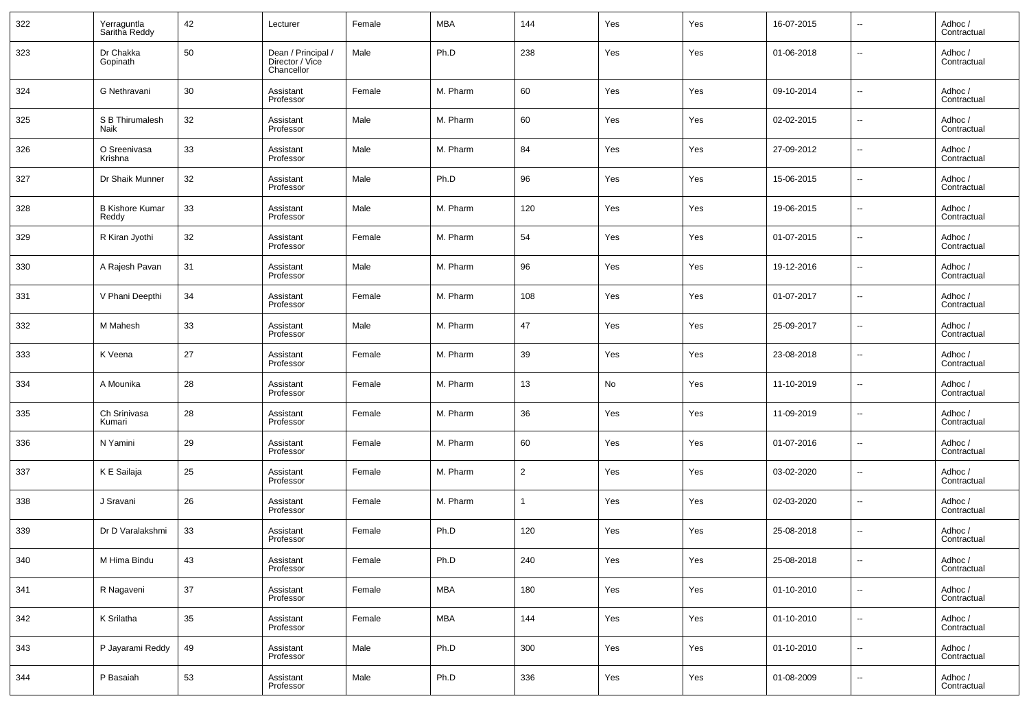| 322 | Yerraguntla<br>Saritha Reddy    | 42 | Lecturer                                            | Female | <b>MBA</b> | 144            | Yes | Yes | 16-07-2015 | $\overline{\phantom{a}}$ | Adhoc /<br>Contractual |
|-----|---------------------------------|----|-----------------------------------------------------|--------|------------|----------------|-----|-----|------------|--------------------------|------------------------|
| 323 | Dr Chakka<br>Gopinath           | 50 | Dean / Principal /<br>Director / Vice<br>Chancellor | Male   | Ph.D       | 238            | Yes | Yes | 01-06-2018 | $\overline{\phantom{a}}$ | Adhoc /<br>Contractual |
| 324 | G Nethravani                    | 30 | Assistant<br>Professor                              | Female | M. Pharm   | 60             | Yes | Yes | 09-10-2014 | $\overline{\phantom{a}}$ | Adhoc /<br>Contractual |
| 325 | S B Thirumalesh<br>Naik         | 32 | Assistant<br>Professor                              | Male   | M. Pharm   | 60             | Yes | Yes | 02-02-2015 | $\overline{\phantom{a}}$ | Adhoc /<br>Contractual |
| 326 | O Sreenivasa<br>Krishna         | 33 | Assistant<br>Professor                              | Male   | M. Pharm   | 84             | Yes | Yes | 27-09-2012 | $\overline{\phantom{a}}$ | Adhoc /<br>Contractual |
| 327 | Dr Shaik Munner                 | 32 | Assistant<br>Professor                              | Male   | Ph.D       | 96             | Yes | Yes | 15-06-2015 | --                       | Adhoc /<br>Contractual |
| 328 | <b>B Kishore Kumar</b><br>Reddy | 33 | Assistant<br>Professor                              | Male   | M. Pharm   | 120            | Yes | Yes | 19-06-2015 | $\sim$                   | Adhoc /<br>Contractual |
| 329 | R Kiran Jyothi                  | 32 | Assistant<br>Professor                              | Female | M. Pharm   | 54             | Yes | Yes | 01-07-2015 | $\overline{\phantom{a}}$ | Adhoc /<br>Contractual |
| 330 | A Rajesh Pavan                  | 31 | Assistant<br>Professor                              | Male   | M. Pharm   | 96             | Yes | Yes | 19-12-2016 | $\overline{\phantom{a}}$ | Adhoc /<br>Contractual |
| 331 | V Phani Deepthi                 | 34 | Assistant<br>Professor                              | Female | M. Pharm   | 108            | Yes | Yes | 01-07-2017 | $\overline{\phantom{a}}$ | Adhoc /<br>Contractual |
| 332 | M Mahesh                        | 33 | Assistant<br>Professor                              | Male   | M. Pharm   | 47             | Yes | Yes | 25-09-2017 | $\overline{\phantom{a}}$ | Adhoc /<br>Contractual |
| 333 | K Veena                         | 27 | Assistant<br>Professor                              | Female | M. Pharm   | 39             | Yes | Yes | 23-08-2018 | $\sim$                   | Adhoc /<br>Contractual |
| 334 | A Mounika                       | 28 | Assistant<br>Professor                              | Female | M. Pharm   | 13             | No  | Yes | 11-10-2019 | $\sim$                   | Adhoc /<br>Contractual |
| 335 | Ch Srinivasa<br>Kumari          | 28 | Assistant<br>Professor                              | Female | M. Pharm   | 36             | Yes | Yes | 11-09-2019 | $\overline{\phantom{a}}$ | Adhoc /<br>Contractual |
| 336 | N Yamini                        | 29 | Assistant<br>Professor                              | Female | M. Pharm   | 60             | Yes | Yes | 01-07-2016 | $\overline{\phantom{a}}$ | Adhoc /<br>Contractual |
| 337 | K E Sailaja                     | 25 | Assistant<br>Professor                              | Female | M. Pharm   | $\overline{2}$ | Yes | Yes | 03-02-2020 | $\overline{\phantom{a}}$ | Adhoc /<br>Contractual |
| 338 | J Sravani                       | 26 | Assistant<br>Professor                              | Female | M. Pharm   | 1              | Yes | Yes | 02-03-2020 | $\overline{\phantom{a}}$ | Adhoc /<br>Contractual |
| 339 | Dr D Varalakshmi                | 33 | Assistant<br>Professor                              | Female | Ph.D       | 120            | Yes | Yes | 25-08-2018 | $\overline{\phantom{a}}$ | Adhoc /<br>Contractual |
| 340 | M Hima Bindu                    | 43 | Assistant<br>Professor                              | Female | Ph.D       | 240            | Yes | Yes | 25-08-2018 |                          | Adhoc /<br>Contractual |
| 341 | R Nagaveni                      | 37 | Assistant<br>Professor                              | Female | <b>MBA</b> | 180            | Yes | Yes | 01-10-2010 | $\overline{\phantom{a}}$ | Adhoc /<br>Contractual |
| 342 | K Srilatha                      | 35 | Assistant<br>Professor                              | Female | <b>MBA</b> | 144            | Yes | Yes | 01-10-2010 | $\overline{\phantom{a}}$ | Adhoc /<br>Contractual |
| 343 | P Jayarami Reddy                | 49 | Assistant<br>Professor                              | Male   | Ph.D       | 300            | Yes | Yes | 01-10-2010 | $\overline{\phantom{a}}$ | Adhoc /<br>Contractual |
| 344 | P Basaiah                       | 53 | Assistant<br>Professor                              | Male   | Ph.D       | 336            | Yes | Yes | 01-08-2009 | $\overline{\phantom{a}}$ | Adhoc /<br>Contractual |